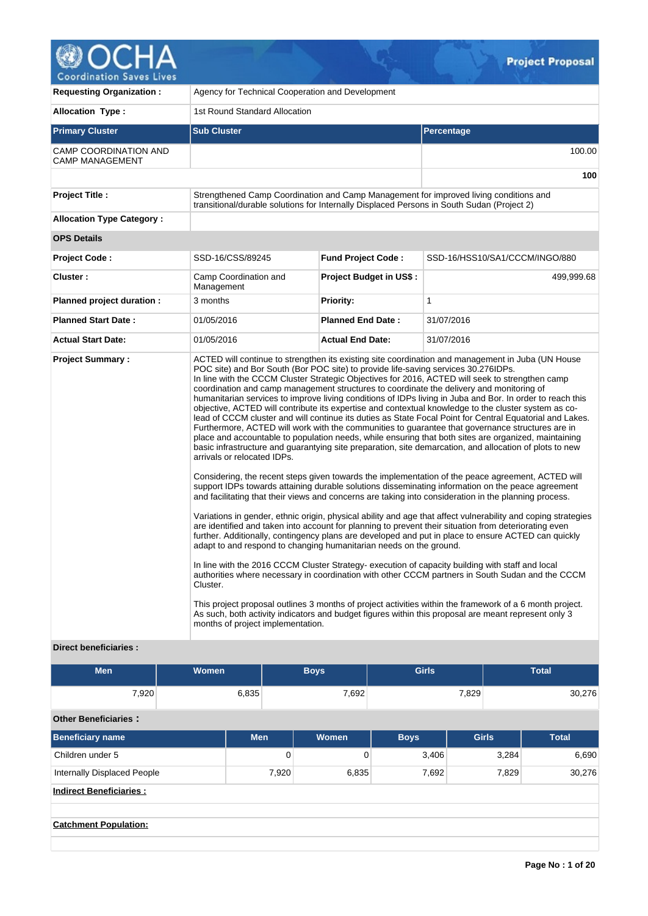

| <b>Requesting Organization:</b>                   | Agency for Technical Cooperation and Development                                                                                                                                                                                                                                                                                     |                                |                                                                                                                                                                                                                                                                                                                                                                                                                                                                                                                                                                                                                                                                                                                                                                                                                                                                                                                                                                                                                                                                                                                                                                                                                                                                                                                                                                                                                                                                                                                                                                                                                                                                                                                                                                                                                                                                                                                                              |  |  |  |  |  |  |  |
|---------------------------------------------------|--------------------------------------------------------------------------------------------------------------------------------------------------------------------------------------------------------------------------------------------------------------------------------------------------------------------------------------|--------------------------------|----------------------------------------------------------------------------------------------------------------------------------------------------------------------------------------------------------------------------------------------------------------------------------------------------------------------------------------------------------------------------------------------------------------------------------------------------------------------------------------------------------------------------------------------------------------------------------------------------------------------------------------------------------------------------------------------------------------------------------------------------------------------------------------------------------------------------------------------------------------------------------------------------------------------------------------------------------------------------------------------------------------------------------------------------------------------------------------------------------------------------------------------------------------------------------------------------------------------------------------------------------------------------------------------------------------------------------------------------------------------------------------------------------------------------------------------------------------------------------------------------------------------------------------------------------------------------------------------------------------------------------------------------------------------------------------------------------------------------------------------------------------------------------------------------------------------------------------------------------------------------------------------------------------------------------------------|--|--|--|--|--|--|--|
| <b>Allocation Type:</b>                           | 1st Round Standard Allocation                                                                                                                                                                                                                                                                                                        |                                |                                                                                                                                                                                                                                                                                                                                                                                                                                                                                                                                                                                                                                                                                                                                                                                                                                                                                                                                                                                                                                                                                                                                                                                                                                                                                                                                                                                                                                                                                                                                                                                                                                                                                                                                                                                                                                                                                                                                              |  |  |  |  |  |  |  |
| <b>Primary Cluster</b>                            | <b>Sub Cluster</b>                                                                                                                                                                                                                                                                                                                   |                                | Percentage                                                                                                                                                                                                                                                                                                                                                                                                                                                                                                                                                                                                                                                                                                                                                                                                                                                                                                                                                                                                                                                                                                                                                                                                                                                                                                                                                                                                                                                                                                                                                                                                                                                                                                                                                                                                                                                                                                                                   |  |  |  |  |  |  |  |
| CAMP COORDINATION AND<br><b>CAMP MANAGEMENT</b>   |                                                                                                                                                                                                                                                                                                                                      |                                | 100.00                                                                                                                                                                                                                                                                                                                                                                                                                                                                                                                                                                                                                                                                                                                                                                                                                                                                                                                                                                                                                                                                                                                                                                                                                                                                                                                                                                                                                                                                                                                                                                                                                                                                                                                                                                                                                                                                                                                                       |  |  |  |  |  |  |  |
|                                                   |                                                                                                                                                                                                                                                                                                                                      |                                | 100                                                                                                                                                                                                                                                                                                                                                                                                                                                                                                                                                                                                                                                                                                                                                                                                                                                                                                                                                                                                                                                                                                                                                                                                                                                                                                                                                                                                                                                                                                                                                                                                                                                                                                                                                                                                                                                                                                                                          |  |  |  |  |  |  |  |
| <b>Project Title:</b>                             | transitional/durable solutions for Internally Displaced Persons in South Sudan (Project 2)                                                                                                                                                                                                                                           |                                | Strengthened Camp Coordination and Camp Management for improved living conditions and                                                                                                                                                                                                                                                                                                                                                                                                                                                                                                                                                                                                                                                                                                                                                                                                                                                                                                                                                                                                                                                                                                                                                                                                                                                                                                                                                                                                                                                                                                                                                                                                                                                                                                                                                                                                                                                        |  |  |  |  |  |  |  |
| <b>Allocation Type Category:</b>                  |                                                                                                                                                                                                                                                                                                                                      |                                |                                                                                                                                                                                                                                                                                                                                                                                                                                                                                                                                                                                                                                                                                                                                                                                                                                                                                                                                                                                                                                                                                                                                                                                                                                                                                                                                                                                                                                                                                                                                                                                                                                                                                                                                                                                                                                                                                                                                              |  |  |  |  |  |  |  |
| <b>OPS Details</b>                                |                                                                                                                                                                                                                                                                                                                                      |                                |                                                                                                                                                                                                                                                                                                                                                                                                                                                                                                                                                                                                                                                                                                                                                                                                                                                                                                                                                                                                                                                                                                                                                                                                                                                                                                                                                                                                                                                                                                                                                                                                                                                                                                                                                                                                                                                                                                                                              |  |  |  |  |  |  |  |
| <b>Project Code:</b>                              | SSD-16/CSS/89245                                                                                                                                                                                                                                                                                                                     | <b>Fund Project Code:</b>      | SSD-16/HSS10/SA1/CCCM/INGO/880                                                                                                                                                                                                                                                                                                                                                                                                                                                                                                                                                                                                                                                                                                                                                                                                                                                                                                                                                                                                                                                                                                                                                                                                                                                                                                                                                                                                                                                                                                                                                                                                                                                                                                                                                                                                                                                                                                               |  |  |  |  |  |  |  |
| Cluster:                                          | Camp Coordination and<br>Management                                                                                                                                                                                                                                                                                                  | <b>Project Budget in US\$:</b> | 499,999.68                                                                                                                                                                                                                                                                                                                                                                                                                                                                                                                                                                                                                                                                                                                                                                                                                                                                                                                                                                                                                                                                                                                                                                                                                                                                                                                                                                                                                                                                                                                                                                                                                                                                                                                                                                                                                                                                                                                                   |  |  |  |  |  |  |  |
| Planned project duration :                        | 3 months                                                                                                                                                                                                                                                                                                                             | <b>Priority:</b>               | 1                                                                                                                                                                                                                                                                                                                                                                                                                                                                                                                                                                                                                                                                                                                                                                                                                                                                                                                                                                                                                                                                                                                                                                                                                                                                                                                                                                                                                                                                                                                                                                                                                                                                                                                                                                                                                                                                                                                                            |  |  |  |  |  |  |  |
| <b>Planned Start Date:</b>                        | 01/05/2016                                                                                                                                                                                                                                                                                                                           | <b>Planned End Date:</b>       | 31/07/2016                                                                                                                                                                                                                                                                                                                                                                                                                                                                                                                                                                                                                                                                                                                                                                                                                                                                                                                                                                                                                                                                                                                                                                                                                                                                                                                                                                                                                                                                                                                                                                                                                                                                                                                                                                                                                                                                                                                                   |  |  |  |  |  |  |  |
| <b>Actual Start Date:</b>                         | 01/05/2016                                                                                                                                                                                                                                                                                                                           | <b>Actual End Date:</b>        | 31/07/2016                                                                                                                                                                                                                                                                                                                                                                                                                                                                                                                                                                                                                                                                                                                                                                                                                                                                                                                                                                                                                                                                                                                                                                                                                                                                                                                                                                                                                                                                                                                                                                                                                                                                                                                                                                                                                                                                                                                                   |  |  |  |  |  |  |  |
| <b>Project Summary:</b><br>Direct beneficiaries : | POC site) and Bor South (Bor POC site) to provide life-saving services 30.276IDPs.<br>coordination and camp management structures to coordinate the delivery and monitoring of<br>arrivals or relocated IDPs.<br>adapt to and respond to changing humanitarian needs on the ground.<br>Cluster.<br>months of project implementation. |                                | ACTED will continue to strengthen its existing site coordination and management in Juba (UN House<br>In line with the CCCM Cluster Strategic Objectives for 2016, ACTED will seek to strengthen camp<br>humanitarian services to improve living conditions of IDPs living in Juba and Bor. In order to reach this<br>objective, ACTED will contribute its expertise and contextual knowledge to the cluster system as co-<br>lead of CCCM cluster and will continue its duties as State Focal Point for Central Equatorial and Lakes.<br>Furthermore, ACTED will work with the communities to guarantee that governance structures are in<br>place and accountable to population needs, while ensuring that both sites are organized, maintaining<br>basic infrastructure and guarantying site preparation, site demarcation, and allocation of plots to new<br>Considering, the recent steps given towards the implementation of the peace agreement, ACTED will<br>support IDPs towards attaining durable solutions disseminating information on the peace agreement<br>and facilitating that their views and concerns are taking into consideration in the planning process.<br>Variations in gender, ethnic origin, physical ability and age that affect vulnerability and coping strategies<br>are identified and taken into account for planning to prevent their situation from deteriorating even<br>further. Additionally, contingency plans are developed and put in place to ensure ACTED can quickly<br>In line with the 2016 CCCM Cluster Strategy- execution of capacity building with staff and local<br>authorities where necessary in coordination with other CCCM partners in South Sudan and the CCCM<br>This project proposal outlines 3 months of project activities within the framework of a 6 month project.<br>As such, both activity indicators and budget figures within this proposal are meant represent only 3 |  |  |  |  |  |  |  |

# **Direct beneficiaries :**

| <b>Men</b> | Women <sup>1</sup> | Boys' | <b>Girls</b> | <b>Total</b> |
|------------|--------------------|-------|--------------|--------------|
| 7,920      | 6,835              | 7,692 | 7,829        | 30,276       |

# **Other Beneficiaries :**

| <b>Men</b> | <b>Women</b> | <b>Boys</b> | <b>Girls</b> |        |  |
|------------|--------------|-------------|--------------|--------|--|
| 0          | 0            | 3,406       | 3,284        | 6,690  |  |
|            | 6,835        | 7,692       | 7,829        | 30,276 |  |
|            |              |             |              |        |  |
|            |              |             |              |        |  |
|            |              |             |              |        |  |
|            |              | 7,920       |              |        |  |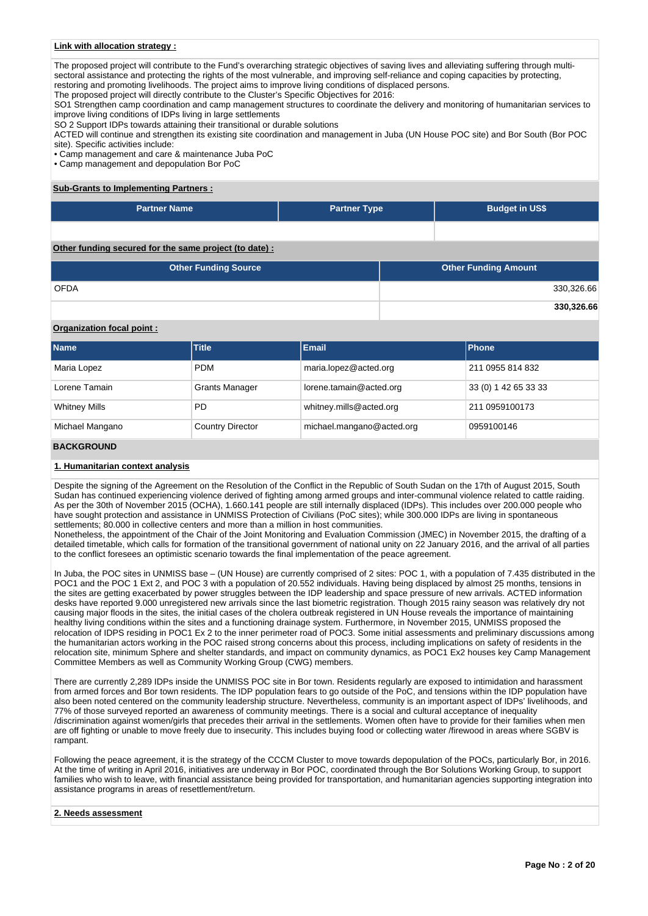# **Link with allocation strategy :**

The proposed project will contribute to the Fund's overarching strategic objectives of saving lives and alleviating suffering through multisectoral assistance and protecting the rights of the most vulnerable, and improving self-reliance and coping capacities by protecting, restoring and promoting livelihoods. The project aims to improve living conditions of displaced persons.

The proposed project will directly contribute to the Cluster's Specific Objectives for 2016:

SO1 Strengthen camp coordination and camp management structures to coordinate the delivery and monitoring of humanitarian services to improve living conditions of IDPs living in large settlements

SO 2 Support IDPs towards attaining their transitional or durable solutions

ACTED will continue and strengthen its existing site coordination and management in Juba (UN House POC site) and Bor South (Bor POC site). Specific activities include:

• Camp management and care & maintenance Juba PoC

• Camp management and depopulation Bor PoC

#### **Sub-Grants to Implementing Partners :**

| <b>Partner Name</b> | <b>Partner Type</b> | <b>Budget in US\$</b> |
|---------------------|---------------------|-----------------------|
|                     |                     |                       |

**Other funding secured for the same project (to date) :**

| <b>Other Funding Source</b> | <b>Other Funding Amount</b> |
|-----------------------------|-----------------------------|
| <b>OFDA</b>                 | 330,326.66                  |
|                             | 330,326.66                  |

# **Organization focal point :**

| <b>Name</b>          | <b>Title</b>            | Email                     | <b>Phone</b>         |
|----------------------|-------------------------|---------------------------|----------------------|
| Maria Lopez          | <b>PDM</b>              | maria.lopez@acted.org     | 211 0955 814 832     |
| Lorene Tamain        | <b>Grants Manager</b>   | lorene.tamain@acted.org   | 33 (0) 1 42 65 33 33 |
| <b>Whitney Mills</b> | <b>PD</b>               | whitney.mills@acted.org   | 211 0959100173       |
| Michael Mangano      | <b>Country Director</b> | michael.mangano@acted.org | 0959100146           |

# **BACKGROUND**

# **1. Humanitarian context analysis**

Despite the signing of the Agreement on the Resolution of the Conflict in the Republic of South Sudan on the 17th of August 2015, South Sudan has continued experiencing violence derived of fighting among armed groups and inter-communal violence related to cattle raiding. As per the 30th of November 2015 (OCHA), 1.660.141 people are still internally displaced (IDPs). This includes over 200.000 people who have sought protection and assistance in UNMISS Protection of Civilians (PoC sites); while 300.000 IDPs are living in spontaneous settlements; 80.000 in collective centers and more than a million in host communities.

Nonetheless, the appointment of the Chair of the Joint Monitoring and Evaluation Commission (JMEC) in November 2015, the drafting of a detailed timetable, which calls for formation of the transitional government of national unity on 22 January 2016, and the arrival of all parties to the conflict foresees an optimistic scenario towards the final implementation of the peace agreement.

In Juba, the POC sites in UNMISS base – (UN House) are currently comprised of 2 sites: POC 1, with a population of 7.435 distributed in the POC1 and the POC 1 Ext 2, and POC 3 with a population of 20.552 individuals. Having being displaced by almost 25 months, tensions in the sites are getting exacerbated by power struggles between the IDP leadership and space pressure of new arrivals. ACTED information desks have reported 9.000 unregistered new arrivals since the last biometric registration. Though 2015 rainy season was relatively dry not causing major floods in the sites, the initial cases of the cholera outbreak registered in UN House reveals the importance of maintaining healthy living conditions within the sites and a functioning drainage system. Furthermore, in November 2015, UNMISS proposed the relocation of IDPS residing in POC1 Ex 2 to the inner perimeter road of POC3. Some initial assessments and preliminary discussions among the humanitarian actors working in the POC raised strong concerns about this process, including implications on safety of residents in the relocation site, minimum Sphere and shelter standards, and impact on community dynamics, as POC1 Ex2 houses key Camp Management Committee Members as well as Community Working Group (CWG) members.

There are currently 2,289 IDPs inside the UNMISS POC site in Bor town. Residents regularly are exposed to intimidation and harassment from armed forces and Bor town residents. The IDP population fears to go outside of the PoC, and tensions within the IDP population have also been noted centered on the community leadership structure. Nevertheless, community is an important aspect of IDPs' livelihoods, and 77% of those surveyed reported an awareness of community meetings. There is a social and cultural acceptance of inequality /discrimination against women/girls that precedes their arrival in the settlements. Women often have to provide for their families when men are off fighting or unable to move freely due to insecurity. This includes buying food or collecting water /firewood in areas where SGBV is rampant.

Following the peace agreement, it is the strategy of the CCCM Cluster to move towards depopulation of the POCs, particularly Bor, in 2016. At the time of writing in April 2016, initiatives are underway in Bor POC, coordinated through the Bor Solutions Working Group, to support families who wish to leave, with financial assistance being provided for transportation, and humanitarian agencies supporting integration into assistance programs in areas of resettlement/return.

#### **2. Needs assessment**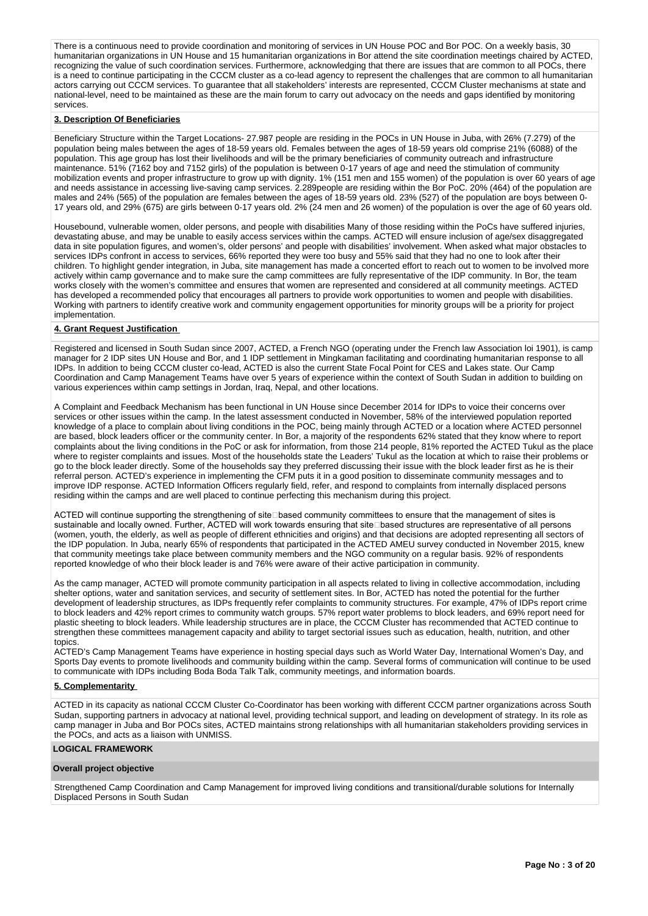There is a continuous need to provide coordination and monitoring of services in UN House POC and Bor POC. On a weekly basis, 30 humanitarian organizations in UN House and 15 humanitarian organizations in Bor attend the site coordination meetings chaired by ACTED, recognizing the value of such coordination services. Furthermore, acknowledging that there are issues that are common to all POCs, there is a need to continue participating in the CCCM cluster as a co-lead agency to represent the challenges that are common to all humanitarian actors carrying out CCCM services. To guarantee that all stakeholders' interests are represented, CCCM Cluster mechanisms at state and national-level, need to be maintained as these are the main forum to carry out advocacy on the needs and gaps identified by monitoring services.

# **3. Description Of Beneficiaries**

Beneficiary Structure within the Target Locations- 27.987 people are residing in the POCs in UN House in Juba, with 26% (7.279) of the population being males between the ages of 18-59 years old. Females between the ages of 18-59 years old comprise 21% (6088) of the population. This age group has lost their livelihoods and will be the primary beneficiaries of community outreach and infrastructure maintenance. 51% (7162 boy and 7152 girls) of the population is between 0-17 years of age and need the stimulation of community mobilization events and proper infrastructure to grow up with dignity. 1% (151 men and 155 women) of the population is over 60 years of age and needs assistance in accessing live-saving camp services. 2.289people are residing within the Bor PoC. 20% (464) of the population are males and 24% (565) of the population are females between the ages of 18-59 years old. 23% (527) of the population are boys between 0- 17 years old, and 29% (675) are girls between 0-17 years old. 2% (24 men and 26 women) of the population is over the age of 60 years old.

Housebound, vulnerable women, older persons, and people with disabilities Many of those residing within the PoCs have suffered injuries, devastating abuse, and may be unable to easily access services within the camps. ACTED will ensure inclusion of age/sex disaggregated data in site population figures, and women's, older persons' and people with disabilities' involvement. When asked what major obstacles to services IDPs confront in access to services, 66% reported they were too busy and 55% said that they had no one to look after their children. To highlight gender integration, in Juba, site management has made a concerted effort to reach out to women to be involved more actively within camp governance and to make sure the camp committees are fully representative of the IDP community. In Bor, the team works closely with the women's committee and ensures that women are represented and considered at all community meetings. ACTED has developed a recommended policy that encourages all partners to provide work opportunities to women and people with disabilities. Working with partners to identify creative work and community engagement opportunities for minority groups will be a priority for project implementation.

#### **4. Grant Request Justification**

Registered and licensed in South Sudan since 2007, ACTED, a French NGO (operating under the French law Association loi 1901), is camp manager for 2 IDP sites UN House and Bor, and 1 IDP settlement in Mingkaman facilitating and coordinating humanitarian response to all IDPs. In addition to being CCCM cluster co-lead, ACTED is also the current State Focal Point for CES and Lakes state. Our Camp Coordination and Camp Management Teams have over 5 years of experience within the context of South Sudan in addition to building on various experiences within camp settings in Jordan, Iraq, Nepal, and other locations.

A Complaint and Feedback Mechanism has been functional in UN House since December 2014 for IDPs to voice their concerns over services or other issues within the camp. In the latest assessment conducted in November, 58% of the interviewed population reported knowledge of a place to complain about living conditions in the POC, being mainly through ACTED or a location where ACTED personnel are based, block leaders officer or the community center. In Bor, a majority of the respondents 62% stated that they know where to report complaints about the living conditions in the PoC or ask for information, from those 214 people, 81% reported the ACTED Tukul as the place where to register complaints and issues. Most of the households state the Leaders' Tukul as the location at which to raise their problems or go to the block leader directly. Some of the households say they preferred discussing their issue with the block leader first as he is their referral person. ACTED's experience in implementing the CFM puts it in a good position to disseminate community messages and to improve IDP response. ACTED Information Officers regularly field, refer, and respond to complaints from internally displaced persons residing within the camps and are well placed to continue perfecting this mechanism during this project.

ACTED will continue supporting the strengthening of siteDbased community committees to ensure that the management of sites is sustainable and locally owned. Further, ACTED will work towards ensuring that site based structures are representative of all persons (women, youth, the elderly, as well as people of different ethnicities and origins) and that decisions are adopted representing all sectors of the IDP population. In Juba, nearly 65% of respondents that participated in the ACTED AMEU survey conducted in November 2015, knew that community meetings take place between community members and the NGO community on a regular basis. 92% of respondents reported knowledge of who their block leader is and 76% were aware of their active participation in community.

As the camp manager, ACTED will promote community participation in all aspects related to living in collective accommodation, including shelter options, water and sanitation services, and security of settlement sites. In Bor, ACTED has noted the potential for the further development of leadership structures, as IDPs frequently refer complaints to community structures. For example, 47% of IDPs report crime to block leaders and 42% report crimes to community watch groups. 57% report water problems to block leaders, and 69% report need for plastic sheeting to block leaders. While leadership structures are in place, the CCCM Cluster has recommended that ACTED continue to strengthen these committees management capacity and ability to target sectorial issues such as education, health, nutrition, and other topics.

ACTED's Camp Management Teams have experience in hosting special days such as World Water Day, International Women's Day, and Sports Day events to promote livelihoods and community building within the camp. Several forms of communication will continue to be used to communicate with IDPs including Boda Boda Talk Talk, community meetings, and information boards.

# **5. Complementarity**

ACTED in its capacity as national CCCM Cluster Co-Coordinator has been working with different CCCM partner organizations across South Sudan, supporting partners in advocacy at national level, providing technical support, and leading on development of strategy. In its role as camp manager in Juba and Bor POCs sites, ACTED maintains strong relationships with all humanitarian stakeholders providing services in the POCs, and acts as a liaison with UNMISS.

### **LOGICAL FRAMEWORK**

#### **Overall project objective**

Strengthened Camp Coordination and Camp Management for improved living conditions and transitional/durable solutions for Internally Displaced Persons in South Sudan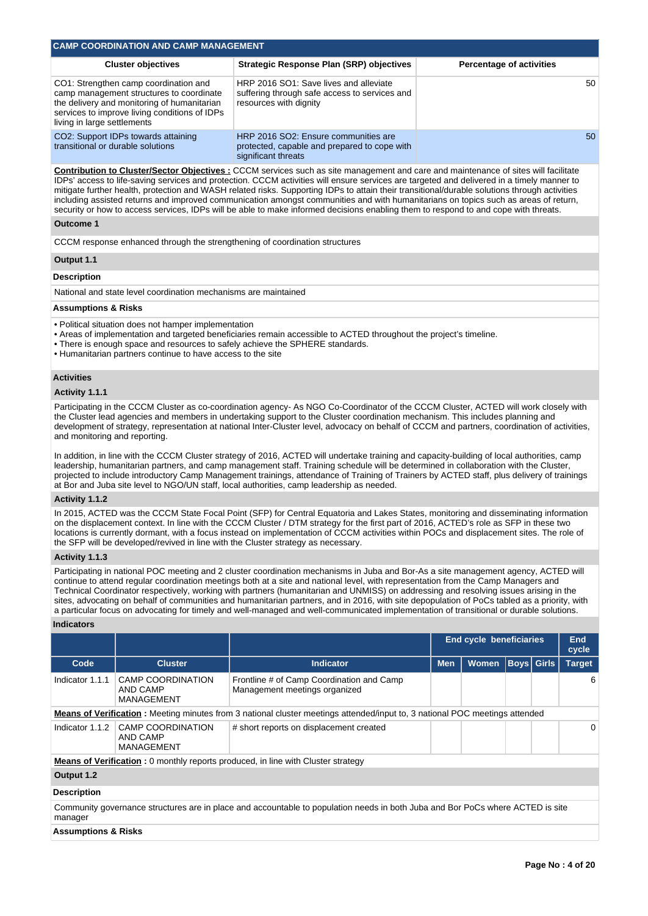| <b>CAMP COORDINATION AND CAMP MANAGEMENT</b>                                                                                                                                                                                                                                                                                                                                                                                                                                                                                                                                                                                                                                                                           |                                                                                                                                                                                   |                                                                                                                                                                                                                                                                                                                                                                                                                                                                                                                                                                                                                                                                                                               |            |                                 |                   |  |                     |  |  |  |
|------------------------------------------------------------------------------------------------------------------------------------------------------------------------------------------------------------------------------------------------------------------------------------------------------------------------------------------------------------------------------------------------------------------------------------------------------------------------------------------------------------------------------------------------------------------------------------------------------------------------------------------------------------------------------------------------------------------------|-----------------------------------------------------------------------------------------------------------------------------------------------------------------------------------|---------------------------------------------------------------------------------------------------------------------------------------------------------------------------------------------------------------------------------------------------------------------------------------------------------------------------------------------------------------------------------------------------------------------------------------------------------------------------------------------------------------------------------------------------------------------------------------------------------------------------------------------------------------------------------------------------------------|------------|---------------------------------|-------------------|--|---------------------|--|--|--|
|                                                                                                                                                                                                                                                                                                                                                                                                                                                                                                                                                                                                                                                                                                                        | <b>Cluster objectives</b>                                                                                                                                                         | <b>Strategic Response Plan (SRP) objectives</b>                                                                                                                                                                                                                                                                                                                                                                                                                                                                                                                                                                                                                                                               |            | <b>Percentage of activities</b> |                   |  |                     |  |  |  |
| living in large settlements                                                                                                                                                                                                                                                                                                                                                                                                                                                                                                                                                                                                                                                                                            | CO1: Strengthen camp coordination and<br>camp management structures to coordinate<br>the delivery and monitoring of humanitarian<br>services to improve living conditions of IDPs | HRP 2016 SO1: Save lives and alleviate<br>suffering through safe access to services and<br>resources with dignity                                                                                                                                                                                                                                                                                                                                                                                                                                                                                                                                                                                             |            |                                 | 50                |  |                     |  |  |  |
|                                                                                                                                                                                                                                                                                                                                                                                                                                                                                                                                                                                                                                                                                                                        | CO2: Support IDPs towards attaining<br>transitional or durable solutions                                                                                                          | HRP 2016 SO2: Ensure communities are<br>protected, capable and prepared to cope with<br>significant threats                                                                                                                                                                                                                                                                                                                                                                                                                                                                                                                                                                                                   |            |                                 |                   |  |                     |  |  |  |
| <b>Contribution to Cluster/Sector Objectives: CCCM</b> services such as site management and care and maintenance of sites will facilitate<br>IDPs' access to life-saving services and protection. CCCM activities will ensure services are targeted and delivered in a timely manner to<br>mitigate further health, protection and WASH related risks. Supporting IDPs to attain their transitional/durable solutions through activities<br>including assisted returns and improved communication amongst communities and with humanitarians on topics such as areas of return,<br>security or how to access services, IDPs will be able to make informed decisions enabling them to respond to and cope with threats. |                                                                                                                                                                                   |                                                                                                                                                                                                                                                                                                                                                                                                                                                                                                                                                                                                                                                                                                               |            |                                 |                   |  |                     |  |  |  |
| Outcome 1                                                                                                                                                                                                                                                                                                                                                                                                                                                                                                                                                                                                                                                                                                              |                                                                                                                                                                                   |                                                                                                                                                                                                                                                                                                                                                                                                                                                                                                                                                                                                                                                                                                               |            |                                 |                   |  |                     |  |  |  |
|                                                                                                                                                                                                                                                                                                                                                                                                                                                                                                                                                                                                                                                                                                                        |                                                                                                                                                                                   | CCCM response enhanced through the strengthening of coordination structures                                                                                                                                                                                                                                                                                                                                                                                                                                                                                                                                                                                                                                   |            |                                 |                   |  |                     |  |  |  |
| Output 1.1                                                                                                                                                                                                                                                                                                                                                                                                                                                                                                                                                                                                                                                                                                             |                                                                                                                                                                                   |                                                                                                                                                                                                                                                                                                                                                                                                                                                                                                                                                                                                                                                                                                               |            |                                 |                   |  |                     |  |  |  |
| <b>Description</b>                                                                                                                                                                                                                                                                                                                                                                                                                                                                                                                                                                                                                                                                                                     |                                                                                                                                                                                   |                                                                                                                                                                                                                                                                                                                                                                                                                                                                                                                                                                                                                                                                                                               |            |                                 |                   |  |                     |  |  |  |
|                                                                                                                                                                                                                                                                                                                                                                                                                                                                                                                                                                                                                                                                                                                        | National and state level coordination mechanisms are maintained                                                                                                                   |                                                                                                                                                                                                                                                                                                                                                                                                                                                                                                                                                                                                                                                                                                               |            |                                 |                   |  |                     |  |  |  |
| <b>Assumptions &amp; Risks</b>                                                                                                                                                                                                                                                                                                                                                                                                                                                                                                                                                                                                                                                                                         |                                                                                                                                                                                   |                                                                                                                                                                                                                                                                                                                                                                                                                                                                                                                                                                                                                                                                                                               |            |                                 |                   |  |                     |  |  |  |
|                                                                                                                                                                                                                                                                                                                                                                                                                                                                                                                                                                                                                                                                                                                        | • Political situation does not hamper implementation<br>. Humanitarian partners continue to have access to the site                                                               | • Areas of implementation and targeted beneficiaries remain accessible to ACTED throughout the project's timeline.<br>• There is enough space and resources to safely achieve the SPHERE standards.                                                                                                                                                                                                                                                                                                                                                                                                                                                                                                           |            |                                 |                   |  |                     |  |  |  |
| <b>Activities</b><br>Activity 1.1.1                                                                                                                                                                                                                                                                                                                                                                                                                                                                                                                                                                                                                                                                                    |                                                                                                                                                                                   |                                                                                                                                                                                                                                                                                                                                                                                                                                                                                                                                                                                                                                                                                                               |            |                                 |                   |  |                     |  |  |  |
|                                                                                                                                                                                                                                                                                                                                                                                                                                                                                                                                                                                                                                                                                                                        |                                                                                                                                                                                   | Participating in the CCCM Cluster as co-coordination agency- As NGO Co-Coordinator of the CCCM Cluster, ACTED will work closely with                                                                                                                                                                                                                                                                                                                                                                                                                                                                                                                                                                          |            |                                 |                   |  |                     |  |  |  |
| and monitoring and reporting.                                                                                                                                                                                                                                                                                                                                                                                                                                                                                                                                                                                                                                                                                          |                                                                                                                                                                                   | the Cluster lead agencies and members in undertaking support to the Cluster coordination mechanism. This includes planning and<br>development of strategy, representation at national Inter-Cluster level, advocacy on behalf of CCCM and partners, coordination of activities,                                                                                                                                                                                                                                                                                                                                                                                                                               |            |                                 |                   |  |                     |  |  |  |
|                                                                                                                                                                                                                                                                                                                                                                                                                                                                                                                                                                                                                                                                                                                        |                                                                                                                                                                                   | In addition, in line with the CCCM Cluster strategy of 2016, ACTED will undertake training and capacity-building of local authorities, camp<br>leadership, humanitarian partners, and camp management staff. Training schedule will be determined in collaboration with the Cluster,<br>projected to include introductory Camp Management trainings, attendance of Training of Trainers by ACTED staff, plus delivery of trainings<br>at Bor and Juba site level to NGO/UN staff, local authorities, camp leadership as needed.                                                                                                                                                                               |            |                                 |                   |  |                     |  |  |  |
| Activity 1.1.2                                                                                                                                                                                                                                                                                                                                                                                                                                                                                                                                                                                                                                                                                                         |                                                                                                                                                                                   |                                                                                                                                                                                                                                                                                                                                                                                                                                                                                                                                                                                                                                                                                                               |            |                                 |                   |  |                     |  |  |  |
|                                                                                                                                                                                                                                                                                                                                                                                                                                                                                                                                                                                                                                                                                                                        |                                                                                                                                                                                   | In 2015, ACTED was the CCCM State Focal Point (SFP) for Central Equatoria and Lakes States, monitoring and disseminating information<br>on the displacement context. In line with the CCCM Cluster / DTM strategy for the first part of 2016, ACTED's role as SFP in these two<br>locations is currently dormant, with a focus instead on implementation of CCCM activities within POCs and displacement sites. The role of<br>the SFP will be developed/revived in line with the Cluster strategy as necessary.                                                                                                                                                                                              |            |                                 |                   |  |                     |  |  |  |
| Activity 1.1.3                                                                                                                                                                                                                                                                                                                                                                                                                                                                                                                                                                                                                                                                                                         |                                                                                                                                                                                   |                                                                                                                                                                                                                                                                                                                                                                                                                                                                                                                                                                                                                                                                                                               |            |                                 |                   |  |                     |  |  |  |
|                                                                                                                                                                                                                                                                                                                                                                                                                                                                                                                                                                                                                                                                                                                        |                                                                                                                                                                                   | Participating in national POC meeting and 2 cluster coordination mechanisms in Juba and Bor-As a site management agency, ACTED will<br>continue to attend regular coordination meetings both at a site and national level, with representation from the Camp Managers and<br>Technical Coordinator respectively, working with partners (humanitarian and UNMISS) on addressing and resolving issues arising in the<br>sites, advocating on behalf of communities and humanitarian partners, and in 2016, with site depopulation of PoCs tabled as a priority, with<br>a particular focus on advocating for timely and well-managed and well-communicated implementation of transitional or durable solutions. |            |                                 |                   |  |                     |  |  |  |
| <b>Indicators</b>                                                                                                                                                                                                                                                                                                                                                                                                                                                                                                                                                                                                                                                                                                      |                                                                                                                                                                                   |                                                                                                                                                                                                                                                                                                                                                                                                                                                                                                                                                                                                                                                                                                               |            |                                 |                   |  |                     |  |  |  |
|                                                                                                                                                                                                                                                                                                                                                                                                                                                                                                                                                                                                                                                                                                                        |                                                                                                                                                                                   |                                                                                                                                                                                                                                                                                                                                                                                                                                                                                                                                                                                                                                                                                                               |            | <b>End cycle beneficiaries</b>  |                   |  | <b>End</b><br>cycle |  |  |  |
| Code                                                                                                                                                                                                                                                                                                                                                                                                                                                                                                                                                                                                                                                                                                                   | <b>Cluster</b>                                                                                                                                                                    | <b>Indicator</b>                                                                                                                                                                                                                                                                                                                                                                                                                                                                                                                                                                                                                                                                                              | <b>Men</b> | <b>Women</b>                    | <b>Boys</b> Girls |  | <b>Target</b>       |  |  |  |
| Indicator 1.1.1                                                                                                                                                                                                                                                                                                                                                                                                                                                                                                                                                                                                                                                                                                        | <b>CAMP COORDINATION</b><br><b>AND CAMP</b><br>MANAGEMENT                                                                                                                         | Frontline # of Camp Coordination and Camp<br>Management meetings organized                                                                                                                                                                                                                                                                                                                                                                                                                                                                                                                                                                                                                                    |            |                                 |                   |  | 6                   |  |  |  |
|                                                                                                                                                                                                                                                                                                                                                                                                                                                                                                                                                                                                                                                                                                                        |                                                                                                                                                                                   | Means of Verification: Meeting minutes from 3 national cluster meetings attended/input to, 3 national POC meetings attended                                                                                                                                                                                                                                                                                                                                                                                                                                                                                                                                                                                   |            |                                 |                   |  |                     |  |  |  |
|                                                                                                                                                                                                                                                                                                                                                                                                                                                                                                                                                                                                                                                                                                                        | Indicator 1.1.2 CAMP COORDINATION<br><b>AND CAMP</b><br>MANAGEMENT                                                                                                                | # short reports on displacement created                                                                                                                                                                                                                                                                                                                                                                                                                                                                                                                                                                                                                                                                       |            |                                 |                   |  | 0                   |  |  |  |
|                                                                                                                                                                                                                                                                                                                                                                                                                                                                                                                                                                                                                                                                                                                        |                                                                                                                                                                                   | <b>Means of Verification</b> : 0 monthly reports produced, in line with Cluster strategy                                                                                                                                                                                                                                                                                                                                                                                                                                                                                                                                                                                                                      |            |                                 |                   |  |                     |  |  |  |
| Output 1.2                                                                                                                                                                                                                                                                                                                                                                                                                                                                                                                                                                                                                                                                                                             |                                                                                                                                                                                   |                                                                                                                                                                                                                                                                                                                                                                                                                                                                                                                                                                                                                                                                                                               |            |                                 |                   |  |                     |  |  |  |
| <b>Description</b>                                                                                                                                                                                                                                                                                                                                                                                                                                                                                                                                                                                                                                                                                                     |                                                                                                                                                                                   |                                                                                                                                                                                                                                                                                                                                                                                                                                                                                                                                                                                                                                                                                                               |            |                                 |                   |  |                     |  |  |  |
| manager                                                                                                                                                                                                                                                                                                                                                                                                                                                                                                                                                                                                                                                                                                                |                                                                                                                                                                                   | Community governance structures are in place and accountable to population needs in both Juba and Bor PoCs where ACTED is site                                                                                                                                                                                                                                                                                                                                                                                                                                                                                                                                                                                |            |                                 |                   |  |                     |  |  |  |

# **Assumptions & Risks**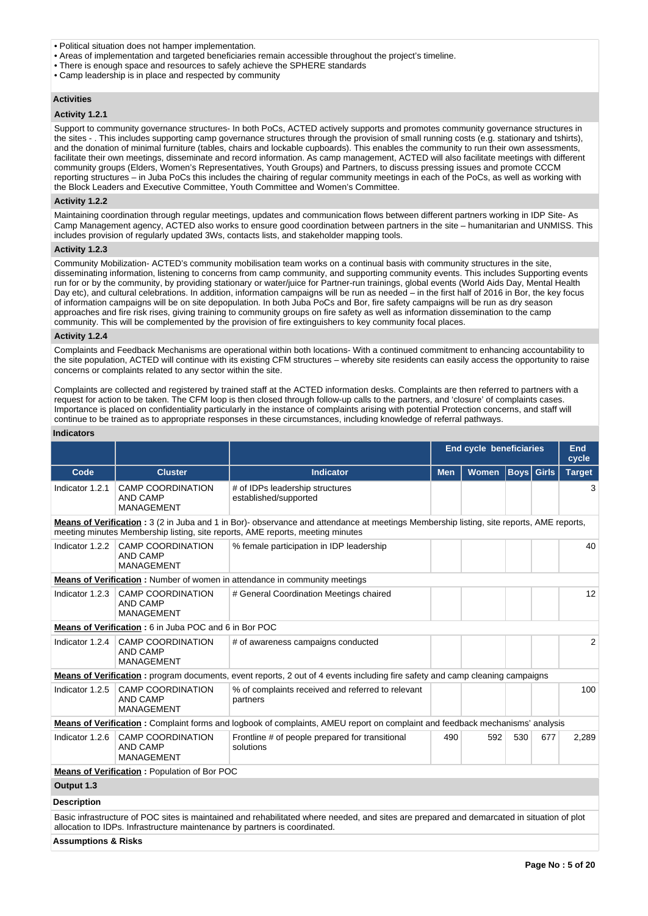- Political situation does not hamper implementation.
- Areas of implementation and targeted beneficiaries remain accessible throughout the project's timeline.
- There is enough space and resources to safely achieve the SPHERE standards
- Camp leadership is in place and respected by community

### **Activities**

# **Activity 1.2.1**

Support to community governance structures- In both PoCs, ACTED actively supports and promotes community governance structures in the sites - . This includes supporting camp governance structures through the provision of small running costs (e.g. stationary and tshirts), and the donation of minimal furniture (tables, chairs and lockable cupboards). This enables the community to run their own assessments, facilitate their own meetings, disseminate and record information. As camp management, ACTED will also facilitate meetings with different community groups (Elders, Women's Representatives, Youth Groups) and Partners, to discuss pressing issues and promote CCCM reporting structures – in Juba PoCs this includes the chairing of regular community meetings in each of the PoCs, as well as working with the Block Leaders and Executive Committee, Youth Committee and Women's Committee.

### **Activity 1.2.2**

Maintaining coordination through regular meetings, updates and communication flows between different partners working in IDP Site- As Camp Management agency, ACTED also works to ensure good coordination between partners in the site – humanitarian and UNMISS. This includes provision of regularly updated 3Ws, contacts lists, and stakeholder mapping tools.

# **Activity 1.2.3**

Community Mobilization- ACTED's community mobilisation team works on a continual basis with community structures in the site, disseminating information, listening to concerns from camp community, and supporting community events. This includes Supporting events run for or by the community, by providing stationary or water/juice for Partner-run trainings, global events (World Aids Day, Mental Health Day etc), and cultural celebrations. In addition, information campaigns will be run as needed – in the first half of 2016 in Bor, the key focus of information campaigns will be on site depopulation. In both Juba PoCs and Bor, fire safety campaigns will be run as dry season approaches and fire risk rises, giving training to community groups on fire safety as well as information dissemination to the camp community. This will be complemented by the provision of fire extinguishers to key community focal places.

# **Activity 1.2.4**

Complaints and Feedback Mechanisms are operational within both locations- With a continued commitment to enhancing accountability to the site population, ACTED will continue with its existing CFM structures – whereby site residents can easily access the opportunity to raise concerns or complaints related to any sector within the site.

Complaints are collected and registered by trained staff at the ACTED information desks. Complaints are then referred to partners with a request for action to be taken. The CFM loop is then closed through follow-up calls to the partners, and 'closure' of complaints cases. Importance is placed on confidentiality particularly in the instance of complaints arising with potential Protection concerns, and staff will continue to be trained as to appropriate responses in these circumstances, including knowledge of referral pathways.

### **Indicators**

|                    |                                                                            |                                                                                                                                                                                                                            | <b>End cycle beneficiaries</b> | End<br>cycle |                   |     |               |
|--------------------|----------------------------------------------------------------------------|----------------------------------------------------------------------------------------------------------------------------------------------------------------------------------------------------------------------------|--------------------------------|--------------|-------------------|-----|---------------|
| Code               | <b>Cluster</b>                                                             | <b>Indicator</b>                                                                                                                                                                                                           | <b>Men</b>                     | <b>Women</b> | <b>Boys</b> Girls |     | <b>Target</b> |
| Indicator 1.2.1    | <b>CAMP COORDINATION</b><br>AND CAMP<br><b>MANAGEMENT</b>                  | # of IDPs leadership structures<br>established/supported                                                                                                                                                                   |                                |              |                   |     | 3             |
|                    |                                                                            | Means of Verification : 3 (2 in Juba and 1 in Bor)- observance and attendance at meetings Membership listing, site reports, AME reports,<br>meeting minutes Membership listing, site reports, AME reports, meeting minutes |                                |              |                   |     |               |
|                    | Indicator 1.2.2 CAMP COORDINATION<br><b>AND CAMP</b><br><b>MANAGEMENT</b>  | % female participation in IDP leadership                                                                                                                                                                                   |                                |              |                   |     | 40            |
|                    |                                                                            | <b>Means of Verification:</b> Number of women in attendance in community meetings                                                                                                                                          |                                |              |                   |     |               |
| Indicator 1.2.3    | <b>CAMP COORDINATION</b><br><b>AND CAMP</b><br><b>MANAGEMENT</b>           | # General Coordination Meetings chaired                                                                                                                                                                                    |                                |              |                   |     | 12            |
|                    | Means of Verification: 6 in Juba POC and 6 in Bor POC                      |                                                                                                                                                                                                                            |                                |              |                   |     |               |
| Indicator 1.2.4    | <b>CAMP COORDINATION</b><br><b>AND CAMP</b><br><b>MANAGEMENT</b>           | # of awareness campaigns conducted                                                                                                                                                                                         |                                |              |                   |     | 2             |
|                    |                                                                            | Means of Verification: program documents, event reports, 2 out of 4 events including fire safety and camp cleaning campaigns                                                                                               |                                |              |                   |     |               |
| Indicator 1.2.5    | <b>CAMP COORDINATION</b><br><b>AND CAMP</b><br><b>MANAGEMENT</b>           | % of complaints received and referred to relevant<br>partners                                                                                                                                                              |                                |              |                   |     | 100           |
|                    |                                                                            | Means of Verification: Complaint forms and logbook of complaints, AMEU report on complaint and feedback mechanisms' analysis                                                                                               |                                |              |                   |     |               |
| Indicator $1.2.6$  | <b>CAMP COORDINATION</b><br><b>AND CAMP</b><br><b>MANAGEMENT</b>           | Frontline # of people prepared for transitional<br>solutions                                                                                                                                                               | 490                            | 592          | 530               | 677 | 2,289         |
|                    | <b>Means of Verification: Population of Bor POC</b>                        |                                                                                                                                                                                                                            |                                |              |                   |     |               |
| Output 1.3         |                                                                            |                                                                                                                                                                                                                            |                                |              |                   |     |               |
| <b>Description</b> |                                                                            |                                                                                                                                                                                                                            |                                |              |                   |     |               |
|                    | allocation to IDPs. Infrastructure maintenance by partners is coordinated. | Basic infrastructure of POC sites is maintained and rehabilitated where needed, and sites are prepared and demarcated in situation of plot                                                                                 |                                |              |                   |     |               |

**Assumptions & Risks**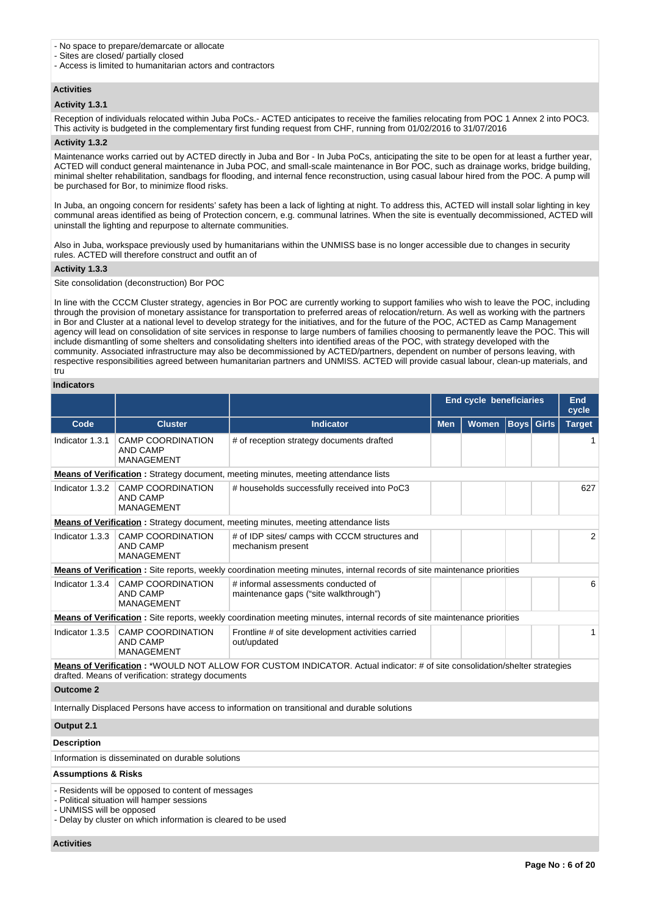- No space to prepare/demarcate or allocate
- Sites are closed/ partially closed
- Access is limited to humanitarian actors and contractors

# **Activities**

# **Activity 1.3.1**

Reception of individuals relocated within Juba PoCs.- ACTED anticipates to receive the families relocating from POC 1 Annex 2 into POC3. This activity is budgeted in the complementary first funding request from CHF, running from 01/02/2016 to 31/07/2016

#### **Activity 1.3.2**

Maintenance works carried out by ACTED directly in Juba and Bor - In Juba PoCs, anticipating the site to be open for at least a further year, ACTED will conduct general maintenance in Juba POC, and small-scale maintenance in Bor POC, such as drainage works, bridge building, minimal shelter rehabilitation, sandbags for flooding, and internal fence reconstruction, using casual labour hired from the POC. A pump will be purchased for Bor, to minimize flood risks.

In Juba, an ongoing concern for residents' safety has been a lack of lighting at night. To address this, ACTED will install solar lighting in key communal areas identified as being of Protection concern, e.g. communal latrines. When the site is eventually decommissioned, ACTED will uninstall the lighting and repurpose to alternate communities.

Also in Juba, workspace previously used by humanitarians within the UNMISS base is no longer accessible due to changes in security rules. ACTED will therefore construct and outfit an of

# **Activity 1.3.3**

Site consolidation (deconstruction) Bor POC

In line with the CCCM Cluster strategy, agencies in Bor POC are currently working to support families who wish to leave the POC, including through the provision of monetary assistance for transportation to preferred areas of relocation/return. As well as working with the partners in Bor and Cluster at a national level to develop strategy for the initiatives, and for the future of the POC, ACTED as Camp Management agency will lead on consolidation of site services in response to large numbers of families choosing to permanently leave the POC. This will include dismantling of some shelters and consolidating shelters into identified areas of the POC, with strategy developed with the community. Associated infrastructure may also be decommissioned by ACTED/partners, dependent on number of persons leaving, with respective responsibilities agreed between humanitarian partners and UNMISS. ACTED will provide casual labour, clean-up materials, and tru

### **Indicators**

|                                |                                                                                                                                                                                               |                                                                                                                                   | <b>End cycle beneficiaries</b><br><b>End</b><br>cycle |              |             |              |               |  |
|--------------------------------|-----------------------------------------------------------------------------------------------------------------------------------------------------------------------------------------------|-----------------------------------------------------------------------------------------------------------------------------------|-------------------------------------------------------|--------------|-------------|--------------|---------------|--|
| Code                           | <b>Cluster</b>                                                                                                                                                                                | <b>Indicator</b>                                                                                                                  | <b>Men</b>                                            | <b>Women</b> | <b>Boys</b> | <b>Girls</b> | <b>Target</b> |  |
| Indicator 1.3.1                | <b>CAMP COORDINATION</b><br>AND CAMP<br><b>MANAGEMENT</b>                                                                                                                                     | # of reception strategy documents drafted                                                                                         |                                                       |              |             |              | 1             |  |
|                                |                                                                                                                                                                                               | <b>Means of Verification:</b> Strategy document, meeting minutes, meeting attendance lists                                        |                                                       |              |             |              |               |  |
| Indicator 1.3.2                | <b>CAMP COORDINATION</b><br><b>AND CAMP</b><br><b>MANAGEMENT</b>                                                                                                                              | # households successfully received into PoC3                                                                                      |                                                       |              |             |              | 627           |  |
|                                |                                                                                                                                                                                               | <b>Means of Verification</b> : Strategy document, meeting minutes, meeting attendance lists                                       |                                                       |              |             |              |               |  |
| Indicator 1.3.3                | <b>CAMP COORDINATION</b><br><b>AND CAMP</b><br><b>MANAGEMENT</b>                                                                                                                              | # of IDP sites/ camps with CCCM structures and<br>mechanism present                                                               |                                                       |              |             |              | 2             |  |
|                                |                                                                                                                                                                                               | <b>Means of Verification</b> : Site reports, weekly coordination meeting minutes, internal records of site maintenance priorities |                                                       |              |             |              |               |  |
|                                | Indicator 1.3.4 CAMP COORDINATION<br><b>AND CAMP</b><br><b>MANAGEMENT</b>                                                                                                                     | # informal assessments conducted of<br>maintenance gaps ("site walkthrough")                                                      |                                                       |              |             |              | 6             |  |
|                                |                                                                                                                                                                                               | Means of Verification : Site reports, weekly coordination meeting minutes, internal records of site maintenance priorities        |                                                       |              |             |              |               |  |
| Indicator 1.3.5                | <b>CAMP COORDINATION</b><br><b>AND CAMP</b><br><b>MANAGEMENT</b>                                                                                                                              | Frontline # of site development activities carried<br>out/updated                                                                 |                                                       |              |             |              | $\mathbf{1}$  |  |
|                                | drafted. Means of verification: strategy documents                                                                                                                                            | Means of Verification: *WOULD NOT ALLOW FOR CUSTOM INDICATOR. Actual indicator: # of site consolidation/shelter strategies        |                                                       |              |             |              |               |  |
| <b>Outcome 2</b>               |                                                                                                                                                                                               |                                                                                                                                   |                                                       |              |             |              |               |  |
|                                |                                                                                                                                                                                               | Internally Displaced Persons have access to information on transitional and durable solutions                                     |                                                       |              |             |              |               |  |
| Output 2.1                     |                                                                                                                                                                                               |                                                                                                                                   |                                                       |              |             |              |               |  |
| <b>Description</b>             |                                                                                                                                                                                               |                                                                                                                                   |                                                       |              |             |              |               |  |
|                                | Information is disseminated on durable solutions                                                                                                                                              |                                                                                                                                   |                                                       |              |             |              |               |  |
| <b>Assumptions &amp; Risks</b> |                                                                                                                                                                                               |                                                                                                                                   |                                                       |              |             |              |               |  |
|                                | - Residents will be opposed to content of messages<br>- Political situation will hamper sessions<br>- UNMISS will be opposed<br>- Delay by cluster on which information is cleared to be used |                                                                                                                                   |                                                       |              |             |              |               |  |

**Activities**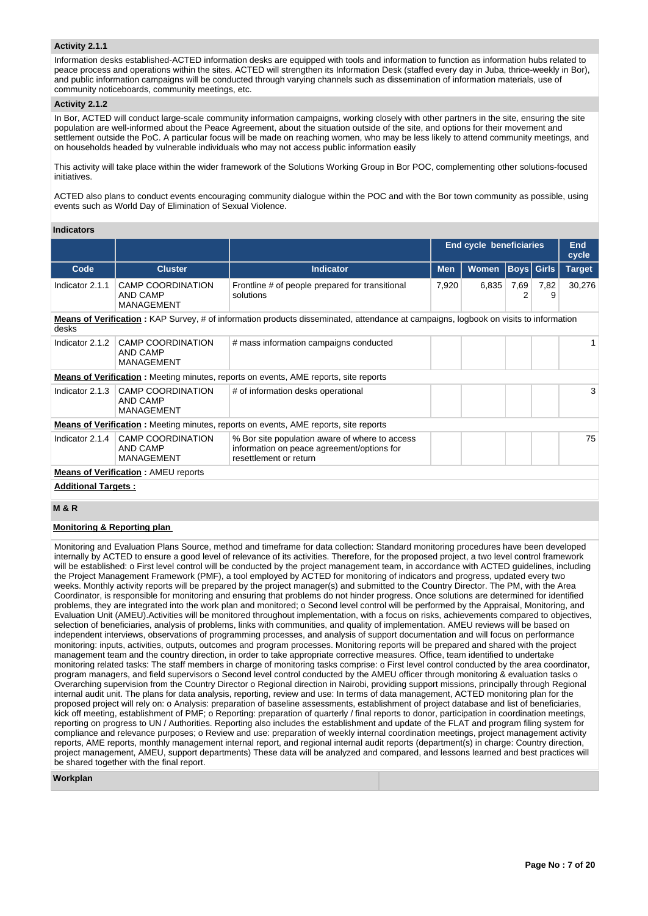# **Activity 2.1.1**

Information desks established-ACTED information desks are equipped with tools and information to function as information hubs related to peace process and operations within the sites. ACTED will strengthen its Information Desk (staffed every day in Juba, thrice-weekly in Bor), and public information campaigns will be conducted through varying channels such as dissemination of information materials, use of community noticeboards, community meetings, etc.

# **Activity 2.1.2**

In Bor, ACTED will conduct large-scale community information campaigns, working closely with other partners in the site, ensuring the site population are well-informed about the Peace Agreement, about the situation outside of the site, and options for their movement and settlement outside the PoC. A particular focus will be made on reaching women, who may be less likely to attend community meetings, and on households headed by vulnerable individuals who may not access public information easily

This activity will take place within the wider framework of the Solutions Working Group in Bor POC, complementing other solutions-focused initiatives.

ACTED also plans to conduct events encouraging community dialogue within the POC and with the Bor town community as possible, using events such as World Day of Elimination of Sexual Violence.

# **Indicators**

|                            |                                                           |                                                                                                                                              | <b>End cycle beneficiaries</b> |              | <b>End</b><br>cycle |                   |               |
|----------------------------|-----------------------------------------------------------|----------------------------------------------------------------------------------------------------------------------------------------------|--------------------------------|--------------|---------------------|-------------------|---------------|
| Code                       | <b>Cluster</b>                                            | <b>Indicator</b>                                                                                                                             | <b>Men</b>                     | <b>Women</b> |                     | <b>Boys Girls</b> | <b>Target</b> |
| Indicator 2.1.1            | <b>CAMP COORDINATION</b><br>AND CAMP<br><b>MANAGEMENT</b> | Frontline # of people prepared for transitional<br>7,920<br>solutions                                                                        |                                | 6,835        | 7,69<br>2           | 7,82<br>9         | 30,276        |
| desks                      |                                                           | <b>Means of Verification</b> : KAP Survey, # of information products disseminated, attendance at campaigns, logbook on visits to information |                                |              |                     |                   |               |
| Indicator 2.1.2            | CAMP COORDINATION<br>AND CAMP<br><b>MANAGEMENT</b>        | # mass information campaigns conducted                                                                                                       |                                |              |                     |                   |               |
|                            |                                                           | <b>Means of Verification</b> : Meeting minutes, reports on events, AME reports, site reports                                                 |                                |              |                     |                   |               |
| Indicator 2.1.3            | CAMP COORDINATION<br>AND CAMP<br><b>MANAGEMENT</b>        | # of information desks operational                                                                                                           |                                |              |                     |                   | 3             |
|                            |                                                           | <b>Means of Verification:</b> Meeting minutes, reports on events, AME reports, site reports                                                  |                                |              |                     |                   |               |
| Indicator 2.1.4            | CAMP COORDINATION<br>AND CAMP<br><b>MANAGEMENT</b>        | % Bor site population aware of where to access<br>information on peace agreement/options for<br>resettlement or return                       |                                |              |                     |                   | 75            |
|                            | <b>Means of Verification: AMEU reports</b>                |                                                                                                                                              |                                |              |                     |                   |               |
| <b>Additional Targets:</b> |                                                           |                                                                                                                                              |                                |              |                     |                   |               |

# **M & R**

# **Monitoring & Reporting plan**

Monitoring and Evaluation Plans Source, method and timeframe for data collection: Standard monitoring procedures have been developed internally by ACTED to ensure a good level of relevance of its activities. Therefore, for the proposed project, a two level control framework will be established: o First level control will be conducted by the project management team, in accordance with ACTED guidelines, including the Project Management Framework (PMF), a tool employed by ACTED for monitoring of indicators and progress, updated every two weeks. Monthly activity reports will be prepared by the project manager(s) and submitted to the Country Director. The PM, with the Area Coordinator, is responsible for monitoring and ensuring that problems do not hinder progress. Once solutions are determined for identified problems, they are integrated into the work plan and monitored; o Second level control will be performed by the Appraisal, Monitoring, and Evaluation Unit (AMEU).Activities will be monitored throughout implementation, with a focus on risks, achievements compared to objectives, selection of beneficiaries, analysis of problems, links with communities, and quality of implementation. AMEU reviews will be based on independent interviews, observations of programming processes, and analysis of support documentation and will focus on performance monitoring: inputs, activities, outputs, outcomes and program processes. Monitoring reports will be prepared and shared with the project management team and the country direction, in order to take appropriate corrective measures. Office, team identified to undertake monitoring related tasks: The staff members in charge of monitoring tasks comprise: o First level control conducted by the area coordinator, program managers, and field supervisors o Second level control conducted by the AMEU officer through monitoring & evaluation tasks o Overarching supervision from the Country Director o Regional direction in Nairobi, providing support missions, principally through Regional internal audit unit. The plans for data analysis, reporting, review and use: In terms of data management, ACTED monitoring plan for the proposed project will rely on: o Analysis: preparation of baseline assessments, establishment of project database and list of beneficiaries, kick off meeting, establishment of PMF; o Reporting: preparation of quarterly / final reports to donor, participation in coordination meetings, reporting on progress to UN / Authorities. Reporting also includes the establishment and update of the FLAT and program filing system for compliance and relevance purposes; o Review and use: preparation of weekly internal coordination meetings, project management activity reports, AME reports, monthly management internal report, and regional internal audit reports (department(s) in charge: Country direction, project management, AMEU, support departments) These data will be analyzed and compared, and lessons learned and best practices will be shared together with the final report.

# **Workplan**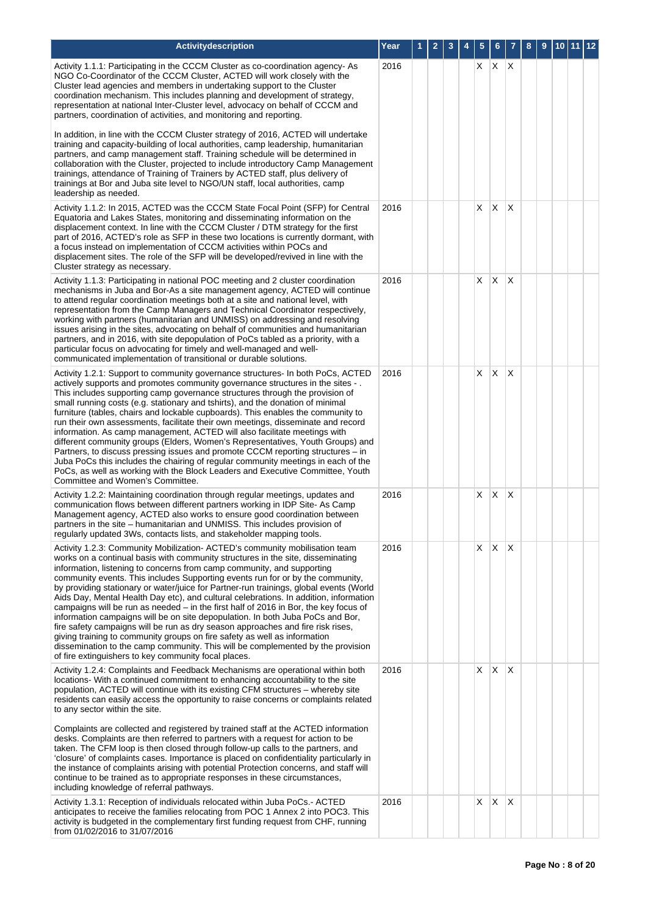| Activitydescription                                                                                                                                                                                                                                                                                                                                                                                                                                                                                                                                                                                                                                                                                                                                                                                                                                                                                                                                                                                 | Year |  |  |    | 6       | 7              | 8 | 9 |  | 10   11   12 |
|-----------------------------------------------------------------------------------------------------------------------------------------------------------------------------------------------------------------------------------------------------------------------------------------------------------------------------------------------------------------------------------------------------------------------------------------------------------------------------------------------------------------------------------------------------------------------------------------------------------------------------------------------------------------------------------------------------------------------------------------------------------------------------------------------------------------------------------------------------------------------------------------------------------------------------------------------------------------------------------------------------|------|--|--|----|---------|----------------|---|---|--|--------------|
| Activity 1.1.1: Participating in the CCCM Cluster as co-coordination agency- As<br>NGO Co-Coordinator of the CCCM Cluster, ACTED will work closely with the<br>Cluster lead agencies and members in undertaking support to the Cluster<br>coordination mechanism. This includes planning and development of strategy,<br>representation at national Inter-Cluster level, advocacy on behalf of CCCM and<br>partners, coordination of activities, and monitoring and reporting.                                                                                                                                                                                                                                                                                                                                                                                                                                                                                                                      | 2016 |  |  | X. | $X$ $X$ |                |   |   |  |              |
| In addition, in line with the CCCM Cluster strategy of 2016, ACTED will undertake<br>training and capacity-building of local authorities, camp leadership, humanitarian<br>partners, and camp management staff. Training schedule will be determined in<br>collaboration with the Cluster, projected to include introductory Camp Management<br>trainings, attendance of Training of Trainers by ACTED staff, plus delivery of<br>trainings at Bor and Juba site level to NGO/UN staff, local authorities, camp<br>leadership as needed.                                                                                                                                                                                                                                                                                                                                                                                                                                                            |      |  |  |    |         |                |   |   |  |              |
| Activity 1.1.2: In 2015, ACTED was the CCCM State Focal Point (SFP) for Central<br>Equatoria and Lakes States, monitoring and disseminating information on the<br>displacement context. In line with the CCCM Cluster / DTM strategy for the first<br>part of 2016, ACTED's role as SFP in these two locations is currently dormant, with<br>a focus instead on implementation of CCCM activities within POCs and<br>displacement sites. The role of the SFP will be developed/revived in line with the<br>Cluster strategy as necessary.                                                                                                                                                                                                                                                                                                                                                                                                                                                           | 2016 |  |  | X  | X       | $\overline{X}$ |   |   |  |              |
| Activity 1.1.3: Participating in national POC meeting and 2 cluster coordination<br>mechanisms in Juba and Bor-As a site management agency, ACTED will continue<br>to attend regular coordination meetings both at a site and national level, with<br>representation from the Camp Managers and Technical Coordinator respectively,<br>working with partners (humanitarian and UNMISS) on addressing and resolving<br>issues arising in the sites, advocating on behalf of communities and humanitarian<br>partners, and in 2016, with site depopulation of PoCs tabled as a priority, with a<br>particular focus on advocating for timely and well-managed and well-<br>communicated implementation of transitional or durable solutions.                                                                                                                                                                                                                                                          | 2016 |  |  | X  | X       | $\times$       |   |   |  |              |
| Activity 1.2.1: Support to community governance structures- In both PoCs, ACTED<br>actively supports and promotes community governance structures in the sites -.<br>This includes supporting camp governance structures through the provision of<br>small running costs (e.g. stationary and tshirts), and the donation of minimal<br>furniture (tables, chairs and lockable cupboards). This enables the community to<br>run their own assessments, facilitate their own meetings, disseminate and record<br>information. As camp management, ACTED will also facilitate meetings with<br>different community groups (Elders, Women's Representatives, Youth Groups) and<br>Partners, to discuss pressing issues and promote CCCM reporting structures - in<br>Juba PoCs this includes the chairing of regular community meetings in each of the<br>PoCs, as well as working with the Block Leaders and Executive Committee, Youth<br>Committee and Women's Committee.                            | 2016 |  |  | X  | X       | $\overline{X}$ |   |   |  |              |
| Activity 1.2.2: Maintaining coordination through regular meetings, updates and<br>communication flows between different partners working in IDP Site- As Camp<br>Management agency, ACTED also works to ensure good coordination between<br>partners in the site – humanitarian and UNMISS. This includes provision of<br>regularly updated 3Ws, contacts lists, and stakeholder mapping tools.                                                                                                                                                                                                                                                                                                                                                                                                                                                                                                                                                                                                     | 2016 |  |  | X  | X       | X              |   |   |  |              |
| Activity 1.2.3: Community Mobilization-ACTED's community mobilisation team<br>works on a continual basis with community structures in the site, disseminating<br>information, listening to concerns from camp community, and supporting<br>community events. This includes Supporting events run for or by the community,<br>by providing stationary or water/juice for Partner-run trainings, global events (World<br>Aids Day, Mental Health Day etc), and cultural celebrations. In addition, information<br>campaigns will be run as needed $-$ in the first half of 2016 in Bor, the key focus of<br>information campaigns will be on site depopulation. In both Juba PoCs and Bor,<br>fire safety campaigns will be run as dry season approaches and fire risk rises,<br>giving training to community groups on fire safety as well as information<br>dissemination to the camp community. This will be complemented by the provision<br>of fire extinguishers to key community focal places. | 2016 |  |  | X  | X       | $\times$       |   |   |  |              |
| Activity 1.2.4: Complaints and Feedback Mechanisms are operational within both<br>locations- With a continued commitment to enhancing accountability to the site<br>population, ACTED will continue with its existing CFM structures - whereby site<br>residents can easily access the opportunity to raise concerns or complaints related<br>to any sector within the site.                                                                                                                                                                                                                                                                                                                                                                                                                                                                                                                                                                                                                        | 2016 |  |  | X  | X       | ΙX             |   |   |  |              |
| Complaints are collected and registered by trained staff at the ACTED information<br>desks. Complaints are then referred to partners with a request for action to be<br>taken. The CFM loop is then closed through follow-up calls to the partners, and<br>'closure' of complaints cases. Importance is placed on confidentiality particularly in<br>the instance of complaints arising with potential Protection concerns, and staff will<br>continue to be trained as to appropriate responses in these circumstances,<br>including knowledge of referral pathways.                                                                                                                                                                                                                                                                                                                                                                                                                               |      |  |  |    |         |                |   |   |  |              |
| Activity 1.3.1: Reception of individuals relocated within Juba PoCs.- ACTED<br>anticipates to receive the families relocating from POC 1 Annex 2 into POC3. This<br>activity is budgeted in the complementary first funding request from CHF, running<br>from 01/02/2016 to 31/07/2016                                                                                                                                                                                                                                                                                                                                                                                                                                                                                                                                                                                                                                                                                                              | 2016 |  |  | Χ  | X       | X              |   |   |  |              |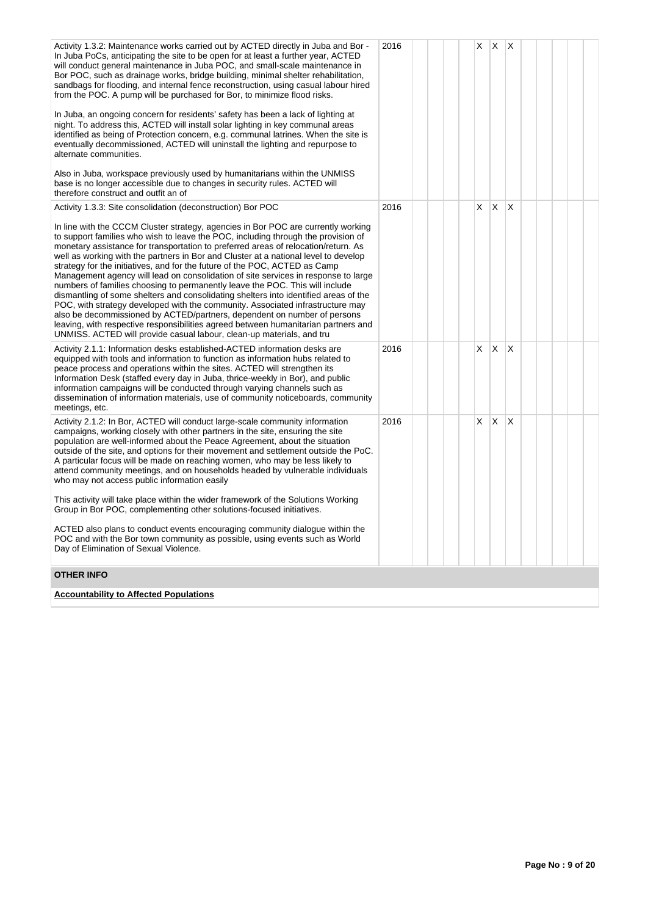| Activity 1.3.2: Maintenance works carried out by ACTED directly in Juba and Bor -<br>In Juba PoCs, anticipating the site to be open for at least a further year, ACTED<br>will conduct general maintenance in Juba POC, and small-scale maintenance in<br>Bor POC, such as drainage works, bridge building, minimal shelter rehabilitation,<br>sandbags for flooding, and internal fence reconstruction, using casual labour hired<br>from the POC. A pump will be purchased for Bor, to minimize flood risks.<br>In Juba, an ongoing concern for residents' safety has been a lack of lighting at<br>night. To address this, ACTED will install solar lighting in key communal areas<br>identified as being of Protection concern, e.g. communal latrines. When the site is<br>eventually decommissioned, ACTED will uninstall the lighting and repurpose to<br>alternate communities.<br>Also in Juba, workspace previously used by humanitarians within the UNMISS<br>base is no longer accessible due to changes in security rules. ACTED will<br>therefore construct and outfit an of | 2016 |  | X | $\times$ | ΙX.          |  |  |
|--------------------------------------------------------------------------------------------------------------------------------------------------------------------------------------------------------------------------------------------------------------------------------------------------------------------------------------------------------------------------------------------------------------------------------------------------------------------------------------------------------------------------------------------------------------------------------------------------------------------------------------------------------------------------------------------------------------------------------------------------------------------------------------------------------------------------------------------------------------------------------------------------------------------------------------------------------------------------------------------------------------------------------------------------------------------------------------------|------|--|---|----------|--------------|--|--|
| Activity 1.3.3: Site consolidation (deconstruction) Bor POC                                                                                                                                                                                                                                                                                                                                                                                                                                                                                                                                                                                                                                                                                                                                                                                                                                                                                                                                                                                                                                | 2016 |  | X | $\times$ | X            |  |  |
| In line with the CCCM Cluster strategy, agencies in Bor POC are currently working<br>to support families who wish to leave the POC, including through the provision of<br>monetary assistance for transportation to preferred areas of relocation/return. As<br>well as working with the partners in Bor and Cluster at a national level to develop<br>strategy for the initiatives, and for the future of the POC, ACTED as Camp<br>Management agency will lead on consolidation of site services in response to large<br>numbers of families choosing to permanently leave the POC. This will include<br>dismantling of some shelters and consolidating shelters into identified areas of the<br>POC, with strategy developed with the community. Associated infrastructure may<br>also be decommissioned by ACTED/partners, dependent on number of persons<br>leaving, with respective responsibilities agreed between humanitarian partners and<br>UNMISS. ACTED will provide casual labour, clean-up materials, and tru                                                               |      |  |   |          |              |  |  |
| Activity 2.1.1: Information desks established-ACTED information desks are<br>equipped with tools and information to function as information hubs related to<br>peace process and operations within the sites. ACTED will strengthen its<br>Information Desk (staffed every day in Juba, thrice-weekly in Bor), and public<br>information campaigns will be conducted through varying channels such as<br>dissemination of information materials, use of community noticeboards, community<br>meetings, etc.                                                                                                                                                                                                                                                                                                                                                                                                                                                                                                                                                                                | 2016 |  | X | $\times$ | <sup>X</sup> |  |  |
| Activity 2.1.2: In Bor, ACTED will conduct large-scale community information<br>campaigns, working closely with other partners in the site, ensuring the site<br>population are well-informed about the Peace Agreement, about the situation<br>outside of the site, and options for their movement and settlement outside the PoC.<br>A particular focus will be made on reaching women, who may be less likely to<br>attend community meetings, and on households headed by vulnerable individuals<br>who may not access public information easily<br>This activity will take place within the wider framework of the Solutions Working<br>Group in Bor POC, complementing other solutions-focused initiatives.                                                                                                                                                                                                                                                                                                                                                                          | 2016 |  | X | X        | X            |  |  |
|                                                                                                                                                                                                                                                                                                                                                                                                                                                                                                                                                                                                                                                                                                                                                                                                                                                                                                                                                                                                                                                                                            |      |  |   |          |              |  |  |
| ACTED also plans to conduct events encouraging community dialogue within the<br>POC and with the Bor town community as possible, using events such as World<br>Day of Elimination of Sexual Violence.                                                                                                                                                                                                                                                                                                                                                                                                                                                                                                                                                                                                                                                                                                                                                                                                                                                                                      |      |  |   |          |              |  |  |
| <b>OTHER INFO</b>                                                                                                                                                                                                                                                                                                                                                                                                                                                                                                                                                                                                                                                                                                                                                                                                                                                                                                                                                                                                                                                                          |      |  |   |          |              |  |  |
| <b>Accountability to Affected Populations</b>                                                                                                                                                                                                                                                                                                                                                                                                                                                                                                                                                                                                                                                                                                                                                                                                                                                                                                                                                                                                                                              |      |  |   |          |              |  |  |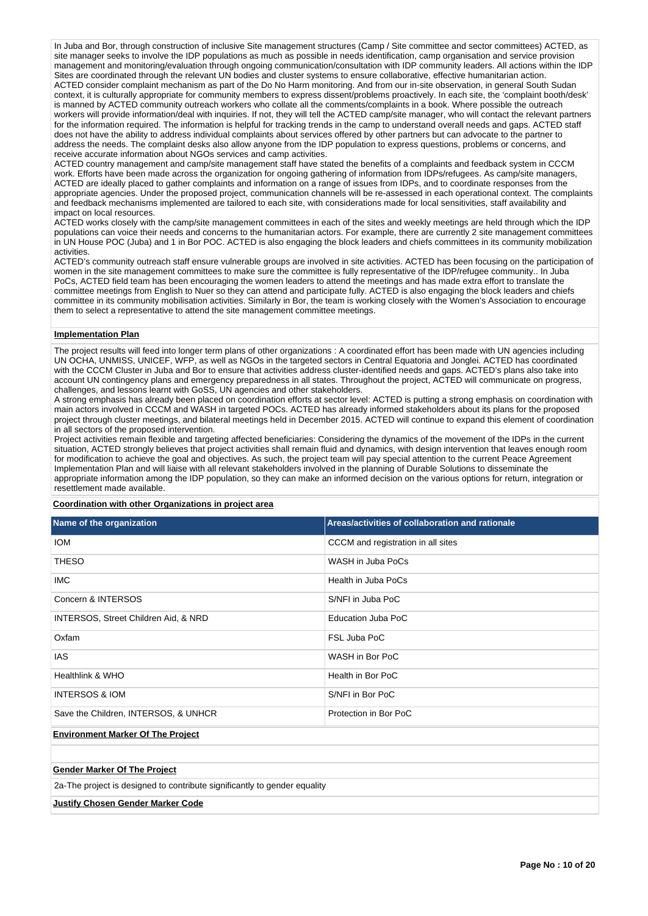In Juba and Bor, through construction of inclusive Site management structures (Camp / Site committee and sector committees) ACTED, as site manager seeks to involve the IDP populations as much as possible in needs identification, camp organisation and service provision management and monitoring/evaluation through ongoing communication/consultation with IDP community leaders. All actions within the IDP Sites are coordinated through the relevant UN bodies and cluster systems to ensure collaborative, effective humanitarian action. ACTED consider complaint mechanism as part of the Do No Harm monitoring. And from our in-site observation, in general South Sudan context, it is culturally appropriate for community members to express dissent/problems proactively. In each site, the 'complaint booth/desk' is manned by ACTED community outreach workers who collate all the comments/complaints in a book. Where possible the outreach workers will provide information/deal with inquiries. If not, they will tell the ACTED camp/site manager, who will contact the relevant partners for the information required. The information is helpful for tracking trends in the camp to understand overall needs and gaps. ACTED staff does not have the ability to address individual complaints about services offered by other partners but can advocate to the partner to address the needs. The complaint desks also allow anyone from the IDP population to express questions, problems or concerns, and receive accurate information about NGOs services and camp activities.

ACTED country management and camp/site management staff have stated the benefits of a complaints and feedback system in CCCM work. Efforts have been made across the organization for ongoing gathering of information from IDPs/refugees. As camp/site managers, ACTED are ideally placed to gather complaints and information on a range of issues from IDPs, and to coordinate responses from the appropriate agencies. Under the proposed project, communication channels will be re-assessed in each operational context. The complaints and feedback mechanisms implemented are tailored to each site, with considerations made for local sensitivities, staff availability and impact on local resources.

ACTED works closely with the camp/site management committees in each of the sites and weekly meetings are held through which the IDP populations can voice their needs and concerns to the humanitarian actors. For example, there are currently 2 site management committees in UN House POC (Juba) and 1 in Bor POC. ACTED is also engaging the block leaders and chiefs committees in its community mobilization activities.

ACTED's community outreach staff ensure vulnerable groups are involved in site activities. ACTED has been focusing on the participation of women in the site management committees to make sure the committee is fully representative of the IDP/refugee community.. In Juba PoCs, ACTED field team has been encouraging the women leaders to attend the meetings and has made extra effort to translate the committee meetings from English to Nuer so they can attend and participate fully. ACTED is also engaging the block leaders and chiefs committee in its community mobilisation activities. Similarly in Bor, the team is working closely with the Women's Association to encourage them to select a representative to attend the site management committee meetings.

#### **Implementation Plan**

The project results will feed into longer term plans of other organizations : A coordinated effort has been made with UN agencies including UN OCHA, UNMISS, UNICEF, WFP, as well as NGOs in the targeted sectors in Central Equatoria and Jonglei. ACTED has coordinated with the CCCM Cluster in Juba and Bor to ensure that activities address cluster-identified needs and gaps. ACTED's plans also take into account UN contingency plans and emergency preparedness in all states. Throughout the project, ACTED will communicate on progress, challenges, and lessons learnt with GoSS, UN agencies and other stakeholders.

A strong emphasis has already been placed on coordination efforts at sector level: ACTED is putting a strong emphasis on coordination with main actors involved in CCCM and WASH in targeted POCs. ACTED has already informed stakeholders about its plans for the proposed project through cluster meetings, and bilateral meetings held in December 2015. ACTED will continue to expand this element of coordination in all sectors of the proposed intervention.

Project activities remain flexible and targeting affected beneficiaries: Considering the dynamics of the movement of the IDPs in the current situation, ACTED strongly believes that project activities shall remain fluid and dynamics, with design intervention that leaves enough room for modification to achieve the goal and objectives. As such, the project team will pay special attention to the current Peace Agreement Implementation Plan and will liaise with all relevant stakeholders involved in the planning of Durable Solutions to disseminate the appropriate information among the IDP population, so they can make an informed decision on the various options for return, integration or resettlement made available.

# **Coordination with other Organizations in project area**

| Name of the organization                                                  | Areas/activities of collaboration and rationale |  |  |  |  |  |  |
|---------------------------------------------------------------------------|-------------------------------------------------|--|--|--|--|--|--|
| <b>IOM</b>                                                                | CCCM and registration in all sites              |  |  |  |  |  |  |
| <b>THESO</b>                                                              | WASH in Juba PoCs                               |  |  |  |  |  |  |
| <b>IMC</b>                                                                | Health in Juba PoCs                             |  |  |  |  |  |  |
| Concern & INTERSOS                                                        | S/NFI in Juba PoC                               |  |  |  |  |  |  |
| INTERSOS, Street Children Aid, & NRD                                      | Education Juba PoC                              |  |  |  |  |  |  |
| Oxfam                                                                     | FSL Juba PoC                                    |  |  |  |  |  |  |
| <b>IAS</b>                                                                | WASH in Bor PoC                                 |  |  |  |  |  |  |
| Healthlink & WHO                                                          | Health in Bor PoC                               |  |  |  |  |  |  |
| <b>INTERSOS &amp; IOM</b>                                                 | S/NFI in Bor PoC                                |  |  |  |  |  |  |
| Save the Children, INTERSOS, & UNHCR                                      | Protection in Bor PoC                           |  |  |  |  |  |  |
| <b>Environment Marker Of The Project</b>                                  |                                                 |  |  |  |  |  |  |
|                                                                           |                                                 |  |  |  |  |  |  |
| <b>Gender Marker Of The Project</b>                                       |                                                 |  |  |  |  |  |  |
| 2a-The project is designed to contribute significantly to gender equality |                                                 |  |  |  |  |  |  |
| <b>Justify Chosen Gender Marker Code</b>                                  |                                                 |  |  |  |  |  |  |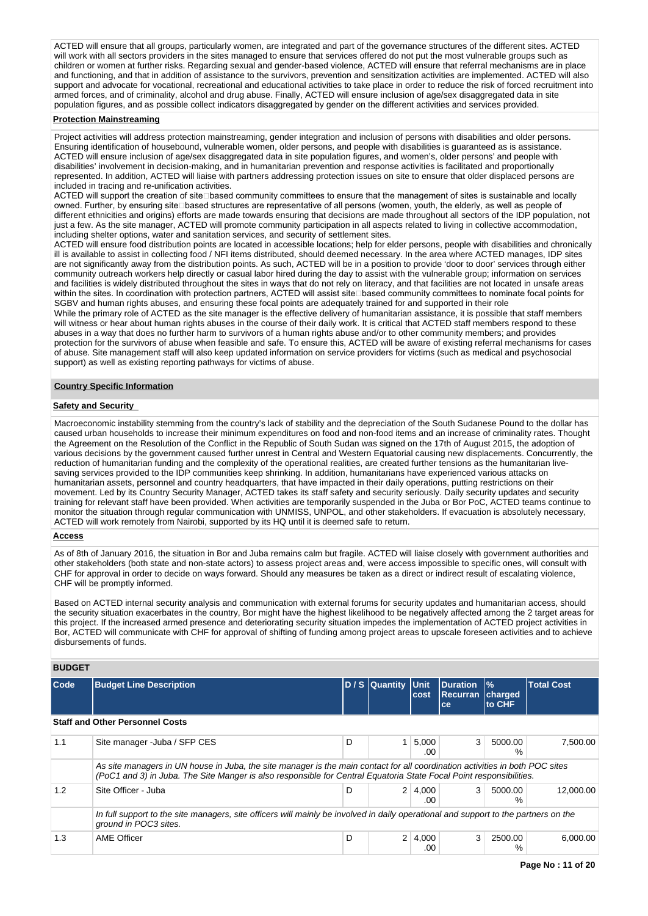ACTED will ensure that all groups, particularly women, are integrated and part of the governance structures of the different sites. ACTED will work with all sectors providers in the sites managed to ensure that services offered do not put the most vulnerable groups such as children or women at further risks. Regarding sexual and gender-based violence, ACTED will ensure that referral mechanisms are in place and functioning, and that in addition of assistance to the survivors, prevention and sensitization activities are implemented. ACTED will also support and advocate for vocational, recreational and educational activities to take place in order to reduce the risk of forced recruitment into armed forces, and of criminality, alcohol and drug abuse. Finally, ACTED will ensure inclusion of age/sex disaggregated data in site population figures, and as possible collect indicators disaggregated by gender on the different activities and services provided.

# **Protection Mainstreaming**

Project activities will address protection mainstreaming, gender integration and inclusion of persons with disabilities and older persons. Ensuring identification of housebound, vulnerable women, older persons, and people with disabilities is guaranteed as is assistance. ACTED will ensure inclusion of age/sex disaggregated data in site population figures, and women's, older persons' and people with disabilities' involvement in decision-making, and in humanitarian prevention and response activities is facilitated and proportionally represented. In addition, ACTED will liaise with partners addressing protection issues on site to ensure that older displaced persons are included in tracing and re-unification activities.

ACTED will support the creation of site Dased community committees to ensure that the management of sites is sustainable and locally owned. Further, by ensuring site Dased structures are representative of all persons (women, youth, the elderly, as well as people of different ethnicities and origins) efforts are made towards ensuring that decisions are made throughout all sectors of the IDP population, not just a few. As the site manager, ACTED will promote community participation in all aspects related to living in collective accommodation, including shelter options, water and sanitation services, and security of settlement sites.

ACTED will ensure food distribution points are located in accessible locations; help for elder persons, people with disabilities and chronically ill is available to assist in collecting food / NFI items distributed, should deemed necessary. In the area where ACTED manages, IDP sites are not significantly away from the distribution points. As such, ACTED will be in a position to provide 'door to door' services through either community outreach workers help directly or casual labor hired during the day to assist with the vulnerable group; information on services and facilities is widely distributed throughout the sites in ways that do not rely on literacy, and that facilities are not located in unsafe areas within the sites. In coordination with protection partners, ACTED will assist site based community committees to nominate focal points for SGBV and human rights abuses, and ensuring these focal points are adequately trained for and supported in their role

While the primary role of ACTED as the site manager is the effective delivery of humanitarian assistance, it is possible that staff members will witness or hear about human rights abuses in the course of their daily work. It is critical that ACTED staff members respond to these abuses in a way that does no further harm to survivors of a human rights abuse and/or to other community members; and provides protection for the survivors of abuse when feasible and safe. To ensure this, ACTED will be aware of existing referral mechanisms for cases of abuse. Site management staff will also keep updated information on service providers for victims (such as medical and psychosocial support) as well as existing reporting pathways for victims of abuse.

# **Country Specific Information**

# **Safety and Security**

Macroeconomic instability stemming from the country's lack of stability and the depreciation of the South Sudanese Pound to the dollar has caused urban households to increase their minimum expenditures on food and non-food items and an increase of criminality rates. Thought the Agreement on the Resolution of the Conflict in the Republic of South Sudan was signed on the 17th of August 2015, the adoption of various decisions by the government caused further unrest in Central and Western Equatorial causing new displacements. Concurrently, the reduction of humanitarian funding and the complexity of the operational realities, are created further tensions as the humanitarian livesaving services provided to the IDP communities keep shrinking. In addition, humanitarians have experienced various attacks on humanitarian assets, personnel and country headquarters, that have impacted in their daily operations, putting restrictions on their movement. Led by its Country Security Manager, ACTED takes its staff safety and security seriously. Daily security updates and security training for relevant staff have been provided. When activities are temporarily suspended in the Juba or Bor PoC, ACTED teams continue to monitor the situation through regular communication with UNMISS, UNPOL, and other stakeholders. If evacuation is absolutely necessary, ACTED will work remotely from Nairobi, supported by its HQ until it is deemed safe to return.

#### **Access**

As of 8th of January 2016, the situation in Bor and Juba remains calm but fragile. ACTED will liaise closely with government authorities and other stakeholders (both state and non-state actors) to assess project areas and, were access impossible to specific ones, will consult with CHF for approval in order to decide on ways forward. Should any measures be taken as a direct or indirect result of escalating violence, CHF will be promptly informed.

Based on ACTED internal security analysis and communication with external forums for security updates and humanitarian access, should the security situation exacerbates in the country, Bor might have the highest likelihood to be negatively affected among the 2 target areas for this project. If the increased armed presence and deteriorating security situation impedes the implementation of ACTED project activities in Bor, ACTED will communicate with CHF for approval of shifting of funding among project areas to upscale foreseen activities and to achieve disbursements of funds.

# **BUDGET**

| Code | <b>Budget Line Description</b>                                                                                                                                                                                                                      |   | D / S Quantity Unit | cost         | <b>Duration</b><br><b>Recurran</b><br>ce | $\frac{9}{6}$<br>charged<br>to CHF | <b>Total Cost</b> |  |
|------|-----------------------------------------------------------------------------------------------------------------------------------------------------------------------------------------------------------------------------------------------------|---|---------------------|--------------|------------------------------------------|------------------------------------|-------------------|--|
|      | <b>Staff and Other Personnel Costs</b>                                                                                                                                                                                                              |   |                     |              |                                          |                                    |                   |  |
| 1.1  | Site manager - Juba / SFP CES                                                                                                                                                                                                                       | D | 1                   | 5,000<br>.00 | 3                                        | 5000.00<br>%                       | 7.500.00          |  |
|      | As site managers in UN house in Juba, the site manager is the main contact for all coordination activities in both POC sites<br>(PoC1 and 3) in Juba. The Site Manger is also responsible for Central Equatoria State Focal Point responsibilities. |   |                     |              |                                          |                                    |                   |  |
| 1.2  | Site Officer - Juba                                                                                                                                                                                                                                 | D | 2 <sup>1</sup>      | 4.000<br>.00 | 3                                        | 5000.00<br>%                       | 12.000.00         |  |
|      | In full support to the site managers, site officers will mainly be involved in daily operational and support to the partners on the<br>ground in POC3 sites.                                                                                        |   |                     |              |                                          |                                    |                   |  |
| 1.3  | <b>AME Officer</b>                                                                                                                                                                                                                                  | D | $\overline{2}$      | 4,000<br>.00 | 3                                        | 2500.00<br>%                       | 6.000.00          |  |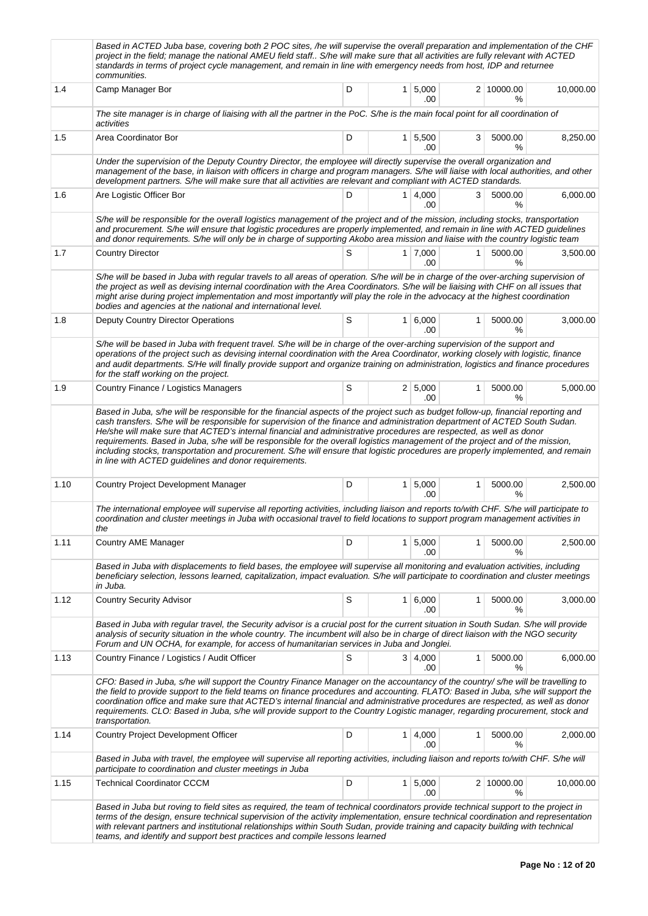|      | Based in ACTED Juba base, covering both 2 POC sites, /he will supervise the overall preparation and implementation of the CHF<br>project in the field; manage the national AMEU field staff S/he will make sure that all activities are fully relevant with ACTED<br>standards in terms of project cycle management, and remain in line with emergency needs from host, IDP and returnee<br>communities.                                                                                                                                                    |   |                |                       |   |                    |           |  |  |  |  |
|------|-------------------------------------------------------------------------------------------------------------------------------------------------------------------------------------------------------------------------------------------------------------------------------------------------------------------------------------------------------------------------------------------------------------------------------------------------------------------------------------------------------------------------------------------------------------|---|----------------|-----------------------|---|--------------------|-----------|--|--|--|--|
| 1.4  | Camp Manager Bor                                                                                                                                                                                                                                                                                                                                                                                                                                                                                                                                            | D | 1 <sup>1</sup> | 5,000<br>.00          |   | 2 10000.00<br>℅    | 10,000.00 |  |  |  |  |
|      | The site manager is in charge of liaising with all the partner in the PoC. S/he is the main focal point for all coordination of<br>activities                                                                                                                                                                                                                                                                                                                                                                                                               |   |                |                       |   |                    |           |  |  |  |  |
| 1.5  | Area Coordinator Bor                                                                                                                                                                                                                                                                                                                                                                                                                                                                                                                                        | D |                | $1 \mid 5,500$<br>.00 | 3 | 5000.00<br>℅       | 8,250.00  |  |  |  |  |
|      | Under the supervision of the Deputy Country Director, the employee will directly supervise the overall organization and<br>management of the base, in liaison with officers in charge and program managers. S/he will liaise with local authorities, and other<br>development partners. S/he will make sure that all activities are relevant and compliant with ACTED standards.                                                                                                                                                                            |   |                |                       |   |                    |           |  |  |  |  |
| 1.6  | Are Logistic Officer Bor                                                                                                                                                                                                                                                                                                                                                                                                                                                                                                                                    | D |                | $1 \mid 4,000$<br>.00 | 3 | 5000.00<br>℅       | 6,000.00  |  |  |  |  |
|      | S/he will be responsible for the overall logistics management of the project and of the mission, including stocks, transportation<br>and procurement. S/he will ensure that logistic procedures are properly implemented, and remain in line with ACTED guidelines<br>and donor requirements. S/he will only be in charge of supporting Akobo area mission and liaise with the country logistic team                                                                                                                                                        |   |                |                       |   |                    |           |  |  |  |  |
| 1.7  | <b>Country Director</b>                                                                                                                                                                                                                                                                                                                                                                                                                                                                                                                                     | S |                | 1 7.000<br>.00        | 1 | 5000.00<br>%       | 3,500.00  |  |  |  |  |
|      | S/he will be based in Juba with regular travels to all areas of operation. S/he will be in charge of the over-arching supervision of<br>the project as well as devising internal coordination with the Area Coordinators. S/he will be liaising with CHF on all issues that<br>might arise during project implementation and most importantly will play the role in the advocacy at the highest coordination<br>bodies and agencies at the national and international level.                                                                                |   |                |                       |   |                    |           |  |  |  |  |
| 1.8  | <b>Deputy Country Director Operations</b>                                                                                                                                                                                                                                                                                                                                                                                                                                                                                                                   | S |                | 1 6,000<br>.00        | 1 | 5000.00<br>%       | 3,000.00  |  |  |  |  |
|      | S/he will be based in Juba with frequent travel. S/he will be in charge of the over-arching supervision of the support and<br>operations of the project such as devising internal coordination with the Area Coordinator, working closely with logistic, finance<br>and audit departments. S/He will finally provide support and organize training on administration, logistics and finance procedures<br>for the staff working on the project.                                                                                                             |   |                |                       |   |                    |           |  |  |  |  |
| 1.9  | Country Finance / Logistics Managers                                                                                                                                                                                                                                                                                                                                                                                                                                                                                                                        | S |                | 2   5,000<br>.00      | 1 | 5000.00<br>℅       | 5,000.00  |  |  |  |  |
|      | He/she will make sure that ACTED's internal financial and administrative procedures are respected, as well as donor<br>requirements. Based in Juba, s/he will be responsible for the overall logistics management of the project and of the mission,<br>including stocks, transportation and procurement. S/he will ensure that logistic procedures are properly implemented, and remain<br>in line with ACTED guidelines and donor requirements.                                                                                                           |   |                |                       |   |                    |           |  |  |  |  |
| 1.10 | <b>Country Project Development Manager</b>                                                                                                                                                                                                                                                                                                                                                                                                                                                                                                                  | D |                | $1 \mid 5,000$<br>.00 | 1 | 5000.00<br>%       | 2,500.00  |  |  |  |  |
|      | The international employee will supervise all reporting activities, including liaison and reports to/with CHF. S/he will participate to<br>coordination and cluster meetings in Juba with occasional travel to field locations to support program management activities in<br>the                                                                                                                                                                                                                                                                           |   |                |                       |   |                    |           |  |  |  |  |
| 1.11 | Country AME Manager                                                                                                                                                                                                                                                                                                                                                                                                                                                                                                                                         | D | 1 <sup>1</sup> | 5,000<br>.00          | 1 | 5000.00<br>%       | 2,500.00  |  |  |  |  |
|      | Based in Juba with displacements to field bases, the employee will supervise all monitoring and evaluation activities, including<br>beneficiary selection, lessons learned, capitalization, impact evaluation. S/he will participate to coordination and cluster meetings<br>in Juba.                                                                                                                                                                                                                                                                       |   |                |                       |   |                    |           |  |  |  |  |
| 1.12 | <b>Country Security Advisor</b>                                                                                                                                                                                                                                                                                                                                                                                                                                                                                                                             | S |                | 1 6,000<br>.00        | 1 | 5000.00<br>%       | 3,000.00  |  |  |  |  |
|      | Based in Juba with regular travel, the Security advisor is a crucial post for the current situation in South Sudan. S/he will provide<br>analysis of security situation in the whole country. The incumbent will also be in charge of direct liaison with the NGO security<br>Forum and UN OCHA, for example, for access of humanitarian services in Juba and Jonglei.                                                                                                                                                                                      |   |                |                       |   |                    |           |  |  |  |  |
| 1.13 | Country Finance / Logistics / Audit Officer                                                                                                                                                                                                                                                                                                                                                                                                                                                                                                                 | S |                | 3   4,000<br>.00      | 1 | 5000.00<br>℅       | 6,000.00  |  |  |  |  |
|      | CFO: Based in Juba, s/he will support the Country Finance Manager on the accountancy of the country/ s/he will be travelling to<br>the field to provide support to the field teams on finance procedures and accounting. FLATO: Based in Juba, s/he will support the<br>coordination office and make sure that ACTED's internal financial and administrative procedures are respected, as well as donor<br>requirements. CLO: Based in Juba, s/he will provide support to the Country Logistic manager, regarding procurement, stock and<br>transportation. |   |                |                       |   |                    |           |  |  |  |  |
| 1.14 | Country Project Development Officer                                                                                                                                                                                                                                                                                                                                                                                                                                                                                                                         | D | 1 <sup>1</sup> | 4,000<br>.00          | 1 | 5000.00<br>%       | 2,000.00  |  |  |  |  |
|      | Based in Juba with travel, the employee will supervise all reporting activities, including liaison and reports to/with CHF. S/he will<br>participate to coordination and cluster meetings in Juba                                                                                                                                                                                                                                                                                                                                                           |   |                |                       |   |                    |           |  |  |  |  |
| 1.15 | <b>Technical Coordinator CCCM</b>                                                                                                                                                                                                                                                                                                                                                                                                                                                                                                                           | D | 1 <sup>1</sup> | 5,000<br>.00          |   | 2 10000.00<br>$\%$ | 10,000.00 |  |  |  |  |
|      | Based in Juba but roving to field sites as required, the team of technical coordinators provide technical support to the project in<br>terms of the design, ensure technical supervision of the activity implementation, ensure technical coordination and representation<br>with relevant partners and institutional relationships within South Sudan, provide training and capacity building with technical<br>teams, and identify and support best practices and compile lessons learned                                                                 |   |                |                       |   |                    |           |  |  |  |  |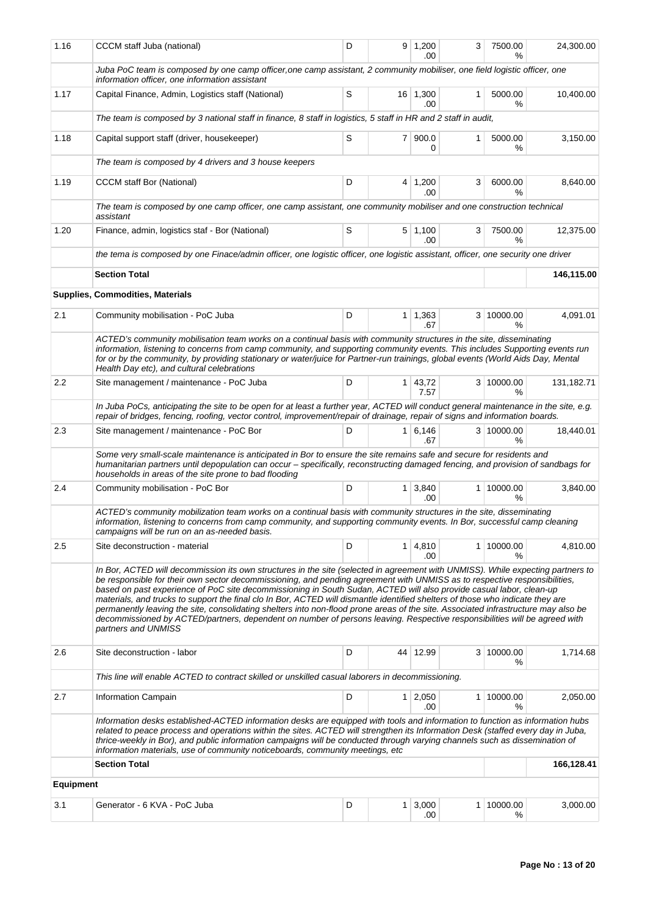| 1.16             | CCCM staff Juba (national)                                                                                                                                                                                                                                                                                                                                                                                                                                                                                                                                                                                                                                                                                                                                                                                      | D |    | $9 \mid 1,200$<br>.00        | 3 | 7500.00<br>℅       | 24,300.00  |
|------------------|-----------------------------------------------------------------------------------------------------------------------------------------------------------------------------------------------------------------------------------------------------------------------------------------------------------------------------------------------------------------------------------------------------------------------------------------------------------------------------------------------------------------------------------------------------------------------------------------------------------------------------------------------------------------------------------------------------------------------------------------------------------------------------------------------------------------|---|----|------------------------------|---|--------------------|------------|
|                  | Juba PoC team is composed by one camp officer, one camp assistant, 2 community mobiliser, one field logistic officer, one<br>information officer, one information assistant                                                                                                                                                                                                                                                                                                                                                                                                                                                                                                                                                                                                                                     |   |    |                              |   |                    |            |
| 1.17             | Capital Finance, Admin, Logistics staff (National)                                                                                                                                                                                                                                                                                                                                                                                                                                                                                                                                                                                                                                                                                                                                                              | S |    | 16 1,300<br>.00              | 1 | 5000.00<br>℅       | 10,400.00  |
|                  | The team is composed by 3 national staff in finance, 8 staff in logistics, 5 staff in HR and 2 staff in audit,                                                                                                                                                                                                                                                                                                                                                                                                                                                                                                                                                                                                                                                                                                  |   |    |                              |   |                    |            |
| 1.18             | Capital support staff (driver, housekeeper)                                                                                                                                                                                                                                                                                                                                                                                                                                                                                                                                                                                                                                                                                                                                                                     | S | 71 | 900.0<br>0                   | 1 | 5000.00<br>℅       | 3,150.00   |
|                  | The team is composed by 4 drivers and 3 house keepers                                                                                                                                                                                                                                                                                                                                                                                                                                                                                                                                                                                                                                                                                                                                                           |   |    |                              |   |                    |            |
| 1.19             | <b>CCCM</b> staff Bor (National)                                                                                                                                                                                                                                                                                                                                                                                                                                                                                                                                                                                                                                                                                                                                                                                | D |    | $4 \mid 1,200$<br>.00.       | 3 | 6000.00<br>$\%$    | 8,640.00   |
|                  | The team is composed by one camp officer, one camp assistant, one community mobiliser and one construction technical<br>assistant                                                                                                                                                                                                                                                                                                                                                                                                                                                                                                                                                                                                                                                                               |   |    |                              |   |                    |            |
| 1.20             | Finance, admin, logistics staf - Bor (National)                                                                                                                                                                                                                                                                                                                                                                                                                                                                                                                                                                                                                                                                                                                                                                 | S |    | $5 \mid 1,100$<br>.00        | 3 | 7500.00<br>℅       | 12,375.00  |
|                  | the tema is composed by one Finace/admin officer, one logistic officer, one logistic assistant, officer, one security one driver                                                                                                                                                                                                                                                                                                                                                                                                                                                                                                                                                                                                                                                                                |   |    |                              |   |                    |            |
|                  | <b>Section Total</b>                                                                                                                                                                                                                                                                                                                                                                                                                                                                                                                                                                                                                                                                                                                                                                                            |   |    |                              |   |                    | 146,115.00 |
|                  | <b>Supplies, Commodities, Materials</b>                                                                                                                                                                                                                                                                                                                                                                                                                                                                                                                                                                                                                                                                                                                                                                         |   |    |                              |   |                    |            |
| 2.1              | Community mobilisation - PoC Juba                                                                                                                                                                                                                                                                                                                                                                                                                                                                                                                                                                                                                                                                                                                                                                               | D |    | $1 \quad 1,363$<br>.67       |   | 3 10000.00<br>$\%$ | 4,091.01   |
|                  | ACTED's community mobilisation team works on a continual basis with community structures in the site, disseminating<br>information, listening to concerns from camp community, and supporting community events. This includes Supporting events run<br>for or by the community, by providing stationary or water/juice for Partner-run trainings, global events (World Aids Day, Mental<br>Health Day etc), and cultural celebrations                                                                                                                                                                                                                                                                                                                                                                           |   |    |                              |   |                    |            |
| 2.2              | Site management / maintenance - PoC Juba                                                                                                                                                                                                                                                                                                                                                                                                                                                                                                                                                                                                                                                                                                                                                                        | D |    | $1 \mid 43,72$<br>7.57       |   | 3 10000.00<br>℅    | 131,182.71 |
|                  | In Juba PoCs, anticipating the site to be open for at least a further year, ACTED will conduct general maintenance in the site, e.g.<br>repair of bridges, fencing, roofing, vector control, improvement/repair of drainage, repair of signs and information boards.                                                                                                                                                                                                                                                                                                                                                                                                                                                                                                                                            |   |    |                              |   |                    |            |
| 2.3              | Site management / maintenance - PoC Bor                                                                                                                                                                                                                                                                                                                                                                                                                                                                                                                                                                                                                                                                                                                                                                         | D |    | $1 \ 6.146$<br>.67           |   | 3 10000.00<br>$\%$ | 18,440.01  |
|                  | Some very small-scale maintenance is anticipated in Bor to ensure the site remains safe and secure for residents and<br>humanitarian partners until depopulation can occur - specifically, reconstructing damaged fencing, and provision of sandbags for<br>households in areas of the site prone to bad flooding                                                                                                                                                                                                                                                                                                                                                                                                                                                                                               |   |    |                              |   |                    |            |
| 2.4              | Community mobilisation - PoC Bor                                                                                                                                                                                                                                                                                                                                                                                                                                                                                                                                                                                                                                                                                                                                                                                | D |    | $1 \overline{)3,840}$<br>.00 |   | 1 10000.00<br>$\%$ | 3,840.00   |
|                  | ACTED's community mobilization team works on a continual basis with community structures in the site, disseminating<br>information, listening to concerns from camp community, and supporting community events. In Bor, successful camp cleaning<br>campaigns will be run on an as-needed basis.                                                                                                                                                                                                                                                                                                                                                                                                                                                                                                                |   |    |                              |   |                    |            |
| 2.5              | Site deconstruction - material                                                                                                                                                                                                                                                                                                                                                                                                                                                                                                                                                                                                                                                                                                                                                                                  | D |    | $1 \, 4,810$<br>.00          |   | 1 10000.00<br>℅    | 4,810.00   |
|                  | In Bor, ACTED will decommission its own structures in the site (selected in agreement with UNMISS). While expecting partners to<br>be responsible for their own sector decommissioning, and pending agreement with UNMISS as to respective responsibilities,<br>based on past experience of PoC site decommissioning in South Sudan, ACTED will also provide casual labor, clean-up<br>materials, and trucks to support the final clo In Bor, ACTED will dismantle identified shelters of those who indicate they are<br>permanently leaving the site, consolidating shelters into non-flood prone areas of the site. Associated infrastructure may also be<br>decommissioned by ACTED/partners, dependent on number of persons leaving. Respective responsibilities will be agreed with<br>partners and UNMISS |   |    |                              |   |                    |            |
| 2.6              | Site deconstruction - labor                                                                                                                                                                                                                                                                                                                                                                                                                                                                                                                                                                                                                                                                                                                                                                                     | D |    | 44 12.99                     |   | 3 10000.00<br>℅    | 1,714.68   |
|                  | This line will enable ACTED to contract skilled or unskilled casual laborers in decommissioning.                                                                                                                                                                                                                                                                                                                                                                                                                                                                                                                                                                                                                                                                                                                |   |    |                              |   |                    |            |
| 2.7              | Information Campain                                                                                                                                                                                                                                                                                                                                                                                                                                                                                                                                                                                                                                                                                                                                                                                             | D |    | $1 \ 2,050$<br>.00           |   | 1 10000.00<br>℅    | 2,050.00   |
|                  | Information desks established-ACTED information desks are equipped with tools and information to function as information hubs<br>related to peace process and operations within the sites. ACTED will strengthen its Information Desk (staffed every day in Juba,<br>thrice-weekly in Bor), and public information campaigns will be conducted through varying channels such as dissemination of<br>information materials, use of community noticeboards, community meetings, etc.                                                                                                                                                                                                                                                                                                                              |   |    |                              |   |                    |            |
|                  | <b>Section Total</b>                                                                                                                                                                                                                                                                                                                                                                                                                                                                                                                                                                                                                                                                                                                                                                                            |   |    |                              |   |                    | 166,128.41 |
| <b>Equipment</b> |                                                                                                                                                                                                                                                                                                                                                                                                                                                                                                                                                                                                                                                                                                                                                                                                                 |   |    |                              |   |                    |            |
| 3.1              | Generator - 6 KVA - PoC Juba                                                                                                                                                                                                                                                                                                                                                                                                                                                                                                                                                                                                                                                                                                                                                                                    | D |    | $1 \, 3,000$<br>.00          |   | 1 10000.00<br>%    | 3,000.00   |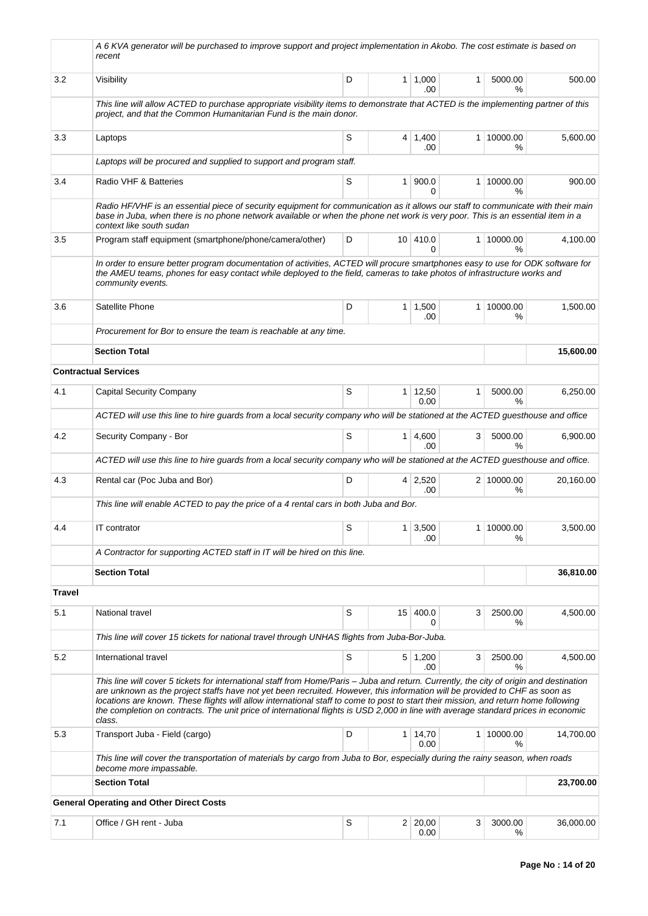|               | A 6 KVA generator will be purchased to improve support and project implementation in Akobo. The cost estimate is based on<br>recent                                                                                                                                                                                                                                                                                                                                                                                                                           |   |                |                        |   |                    |           |
|---------------|---------------------------------------------------------------------------------------------------------------------------------------------------------------------------------------------------------------------------------------------------------------------------------------------------------------------------------------------------------------------------------------------------------------------------------------------------------------------------------------------------------------------------------------------------------------|---|----------------|------------------------|---|--------------------|-----------|
| 3.2           | Visibility                                                                                                                                                                                                                                                                                                                                                                                                                                                                                                                                                    | D |                | 1   1,000<br>.00.      | 1 | 5000.00<br>$\%$    | 500.00    |
|               | This line will allow ACTED to purchase appropriate visibility items to demonstrate that ACTED is the implementing partner of this<br>project, and that the Common Humanitarian Fund is the main donor.                                                                                                                                                                                                                                                                                                                                                        |   |                |                        |   |                    |           |
| 3.3           | Laptops                                                                                                                                                                                                                                                                                                                                                                                                                                                                                                                                                       | S |                | $4 \mid 1,400$<br>.00  |   | 1 10000.00<br>℅    | 5,600.00  |
|               | Laptops will be procured and supplied to support and program staff.                                                                                                                                                                                                                                                                                                                                                                                                                                                                                           |   |                |                        |   |                    |           |
| 3.4           | Radio VHF & Batteries                                                                                                                                                                                                                                                                                                                                                                                                                                                                                                                                         | S | 1 <sup>1</sup> | 900.0<br><sup>0</sup>  |   | 1 10000.00<br>℅    | 900.00    |
|               | Radio HF/VHF is an essential piece of security equipment for communication as it allows our staff to communicate with their main<br>base in Juba, when there is no phone network available or when the phone net work is very poor. This is an essential item in a<br>context like south sudan                                                                                                                                                                                                                                                                |   |                |                        |   |                    |           |
| 3.5           | Program staff equipment (smartphone/phone/camera/other)                                                                                                                                                                                                                                                                                                                                                                                                                                                                                                       | D |                | 10 410.0<br>0          |   | 1 10000.00<br>$\%$ | 4,100.00  |
|               | In order to ensure better program documentation of activities, ACTED will procure smartphones easy to use for ODK software for<br>the AMEU teams, phones for easy contact while deployed to the field, cameras to take photos of infrastructure works and<br>community events.                                                                                                                                                                                                                                                                                |   |                |                        |   |                    |           |
| 3.6           | Satellite Phone                                                                                                                                                                                                                                                                                                                                                                                                                                                                                                                                               | D |                | $1 \mid 1,500$<br>.00  |   | 1 10000.00<br>%    | 1,500.00  |
|               | Procurement for Bor to ensure the team is reachable at any time.                                                                                                                                                                                                                                                                                                                                                                                                                                                                                              |   |                |                        |   |                    |           |
|               | <b>Section Total</b>                                                                                                                                                                                                                                                                                                                                                                                                                                                                                                                                          |   |                |                        |   |                    | 15,600.00 |
|               | <b>Contractual Services</b>                                                                                                                                                                                                                                                                                                                                                                                                                                                                                                                                   |   |                |                        |   |                    |           |
| 4.1           | <b>Capital Security Company</b>                                                                                                                                                                                                                                                                                                                                                                                                                                                                                                                               | S |                | $1 \mid 12,50$<br>0.00 | 1 | 5000.00<br>$\%$    | 6,250.00  |
|               | ACTED will use this line to hire guards from a local security company who will be stationed at the ACTED guesthouse and office                                                                                                                                                                                                                                                                                                                                                                                                                                |   |                |                        |   |                    |           |
| 4.2           | Security Company - Bor                                                                                                                                                                                                                                                                                                                                                                                                                                                                                                                                        | S |                | $1 \mid 4,600$<br>.00  | 3 | 5000.00<br>%       | 6,900.00  |
|               | ACTED will use this line to hire guards from a local security company who will be stationed at the ACTED guesthouse and office.                                                                                                                                                                                                                                                                                                                                                                                                                               |   |                |                        |   |                    |           |
| 4.3           | Rental car (Poc Juba and Bor)                                                                                                                                                                                                                                                                                                                                                                                                                                                                                                                                 | D |                | $4 \mid 2,520$<br>.00  |   | 2 10000.00<br>%    | 20,160.00 |
|               | This line will enable ACTED to pay the price of a 4 rental cars in both Juba and Bor.                                                                                                                                                                                                                                                                                                                                                                                                                                                                         |   |                |                        |   |                    |           |
| 4.4           | IT contrator                                                                                                                                                                                                                                                                                                                                                                                                                                                                                                                                                  | S |                | $1 \mid 3,500$<br>.00  |   | 1 10000.00<br>℅    | 3,500.00  |
|               | A Contractor for supporting ACTED staff in IT will be hired on this line.                                                                                                                                                                                                                                                                                                                                                                                                                                                                                     |   |                |                        |   |                    |           |
|               | <b>Section Total</b>                                                                                                                                                                                                                                                                                                                                                                                                                                                                                                                                          |   |                |                        |   |                    | 36,810.00 |
| <b>Travel</b> |                                                                                                                                                                                                                                                                                                                                                                                                                                                                                                                                                               |   |                |                        |   |                    |           |
| 5.1           | National travel                                                                                                                                                                                                                                                                                                                                                                                                                                                                                                                                               | S |                | 15 400.0<br>0          | 3 | 2500.00<br>℅       | 4,500.00  |
|               | This line will cover 15 tickets for national travel through UNHAS flights from Juba-Bor-Juba.                                                                                                                                                                                                                                                                                                                                                                                                                                                                 |   |                |                        |   |                    |           |
| 5.2           | International travel                                                                                                                                                                                                                                                                                                                                                                                                                                                                                                                                          | S |                | $5 \mid 1,200$<br>.00  | 3 | 2500.00<br>%       | 4,500.00  |
|               | This line will cover 5 tickets for international staff from Home/Paris - Juba and return. Currently, the city of origin and destination<br>are unknown as the project staffs have not yet been recruited. However, this information will be provided to CHF as soon as<br>locations are known. These flights will allow international staff to come to post to start their mission, and return home following<br>the completion on contracts. The unit price of international flights is USD 2,000 in line with average standard prices in economic<br>class. |   |                |                        |   |                    |           |
| 5.3           | Transport Juba - Field (cargo)                                                                                                                                                                                                                                                                                                                                                                                                                                                                                                                                | D | 1 <sup>1</sup> | 14,70<br>0.00          |   | 1 10000.00<br>%    | 14,700.00 |
|               | This line will cover the transportation of materials by cargo from Juba to Bor, especially during the rainy season, when roads<br>become more impassable.                                                                                                                                                                                                                                                                                                                                                                                                     |   |                |                        |   |                    |           |
|               | <b>Section Total</b>                                                                                                                                                                                                                                                                                                                                                                                                                                                                                                                                          |   |                |                        |   |                    | 23,700.00 |
|               | <b>General Operating and Other Direct Costs</b>                                                                                                                                                                                                                                                                                                                                                                                                                                                                                                               |   |                |                        |   |                    |           |
| 7.1           | Office / GH rent - Juba                                                                                                                                                                                                                                                                                                                                                                                                                                                                                                                                       | S |                | 2 20,00<br>0.00        | 3 | 3000.00<br>℅       | 36,000.00 |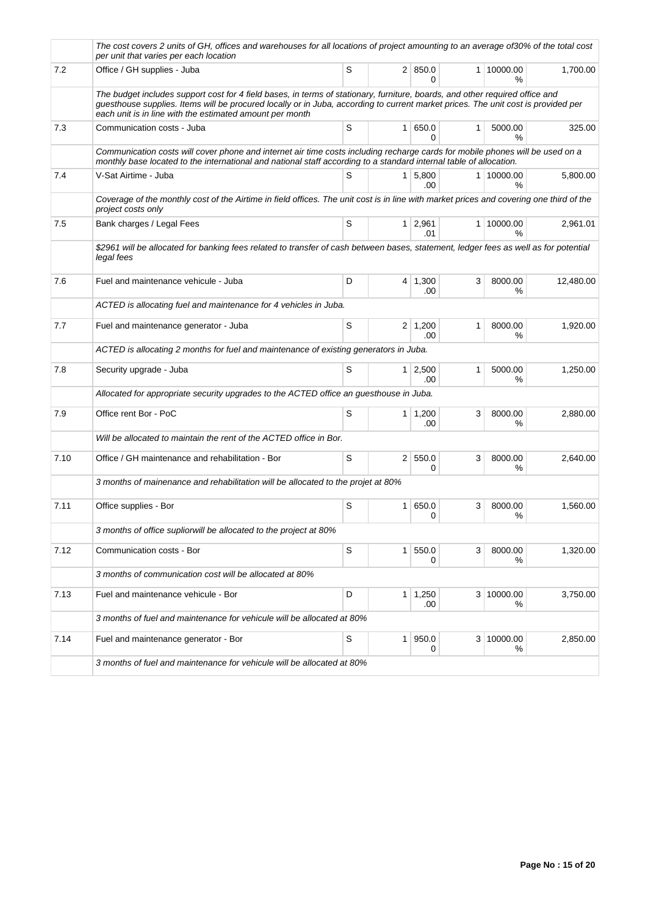|      | The cost covers 2 units of GH, offices and warehouses for all locations of project amounting to an average of30% of the total cost<br>per unit that varies per each location                                                                                                                                                  |             |                |                           |   |                 |           |
|------|-------------------------------------------------------------------------------------------------------------------------------------------------------------------------------------------------------------------------------------------------------------------------------------------------------------------------------|-------------|----------------|---------------------------|---|-----------------|-----------|
| 7.2  | Office / GH supplies - Juba                                                                                                                                                                                                                                                                                                   | S           |                | 2   850.0<br>0            |   | 1 10000.00<br>% | 1,700.00  |
|      | The budget includes support cost for 4 field bases, in terms of stationary, furniture, boards, and other required office and<br>guesthouse supplies. Items will be procured locally or in Juba, according to current market prices. The unit cost is provided per<br>each unit is in line with the estimated amount per month |             |                |                           |   |                 |           |
| 7.3  | Communication costs - Juba                                                                                                                                                                                                                                                                                                    | S           |                | 1   650.0<br><sup>0</sup> | 1 | 5000.00<br>%    | 325.00    |
|      | Communication costs will cover phone and internet air time costs including recharge cards for mobile phones will be used on a<br>monthly base located to the international and national staff according to a standard internal table of allocation.                                                                           |             |                |                           |   |                 |           |
| 7.4  | V-Sat Airtime - Juba                                                                                                                                                                                                                                                                                                          | S           |                | $1 \mid 5,800$<br>.00     |   | 1 10000.00<br>℅ | 5,800.00  |
|      | Coverage of the monthly cost of the Airtime in field offices. The unit cost is in line with market prices and covering one third of the<br>project costs only                                                                                                                                                                 |             |                |                           |   |                 |           |
| 7.5  | Bank charges / Legal Fees                                                                                                                                                                                                                                                                                                     | S           |                | $1 \mid 2,961$<br>.01     |   | 1 10000.00<br>℅ | 2,961.01  |
|      | \$2961 will be allocated for banking fees related to transfer of cash between bases, statement, ledger fees as well as for potential<br>legal fees                                                                                                                                                                            |             |                |                           |   |                 |           |
| 7.6  | Fuel and maintenance vehicule - Juba                                                                                                                                                                                                                                                                                          | D           |                | $4 \mid 1,300$<br>.00     | 3 | 8000.00<br>℅    | 12,480.00 |
|      | ACTED is allocating fuel and maintenance for 4 vehicles in Juba.                                                                                                                                                                                                                                                              |             |                |                           |   |                 |           |
| 7.7  | Fuel and maintenance generator - Juba                                                                                                                                                                                                                                                                                         | S           |                | $2 \mid 1,200$<br>.00     | 1 | 8000.00<br>%    | 1,920.00  |
|      | ACTED is allocating 2 months for fuel and maintenance of existing generators in Juba.                                                                                                                                                                                                                                         |             |                |                           |   |                 |           |
| 7.8  | Security upgrade - Juba                                                                                                                                                                                                                                                                                                       | S           |                | $1 \mid 2,500$<br>.00     | 1 | 5000.00<br>%    | 1,250.00  |
|      | Allocated for appropriate security upgrades to the ACTED office an guesthouse in Juba.                                                                                                                                                                                                                                        |             |                |                           |   |                 |           |
| 7.9  | Office rent Bor - PoC                                                                                                                                                                                                                                                                                                         | S           |                | $1 \mid 1,200$<br>.00     | 3 | 8000.00<br>℅    | 2,880.00  |
|      | Will be allocated to maintain the rent of the ACTED office in Bor.                                                                                                                                                                                                                                                            |             |                |                           |   |                 |           |
| 7.10 | Office / GH maintenance and rehabilitation - Bor                                                                                                                                                                                                                                                                              | S           |                | 2   550.0<br>0            | 3 | 8000.00<br>℅    | 2.640.00  |
|      | 3 months of mainenance and rehabilitation will be allocated to the projet at 80%                                                                                                                                                                                                                                              |             |                |                           |   |                 |           |
| 7.11 | Office supplies - Bor                                                                                                                                                                                                                                                                                                         | S           | 1 <sup>1</sup> | 650.0<br>0                | 3 | 8000.00<br>%    | 1,560.00  |
|      | 3 months of office supliorwill be allocated to the project at 80%                                                                                                                                                                                                                                                             |             |                |                           |   |                 |           |
| 7.12 | Communication costs - Bor                                                                                                                                                                                                                                                                                                     | S           |                | 1   550.0<br>0            | 3 | 8000.00<br>℅    | 1,320.00  |
|      | 3 months of communication cost will be allocated at 80%                                                                                                                                                                                                                                                                       |             |                |                           |   |                 |           |
| 7.13 | Fuel and maintenance vehicule - Bor                                                                                                                                                                                                                                                                                           | D           |                | $1 \mid 1,250$<br>.00     |   | 3 10000.00<br>% | 3,750.00  |
|      | 3 months of fuel and maintenance for vehicule will be allocated at 80%                                                                                                                                                                                                                                                        |             |                |                           |   |                 |           |
| 7.14 | Fuel and maintenance generator - Bor                                                                                                                                                                                                                                                                                          | $\mathbb S$ |                | 1   950.0<br>0            |   | 3 10000.00<br>℅ | 2,850.00  |
|      | 3 months of fuel and maintenance for vehicule will be allocated at 80%                                                                                                                                                                                                                                                        |             |                |                           |   |                 |           |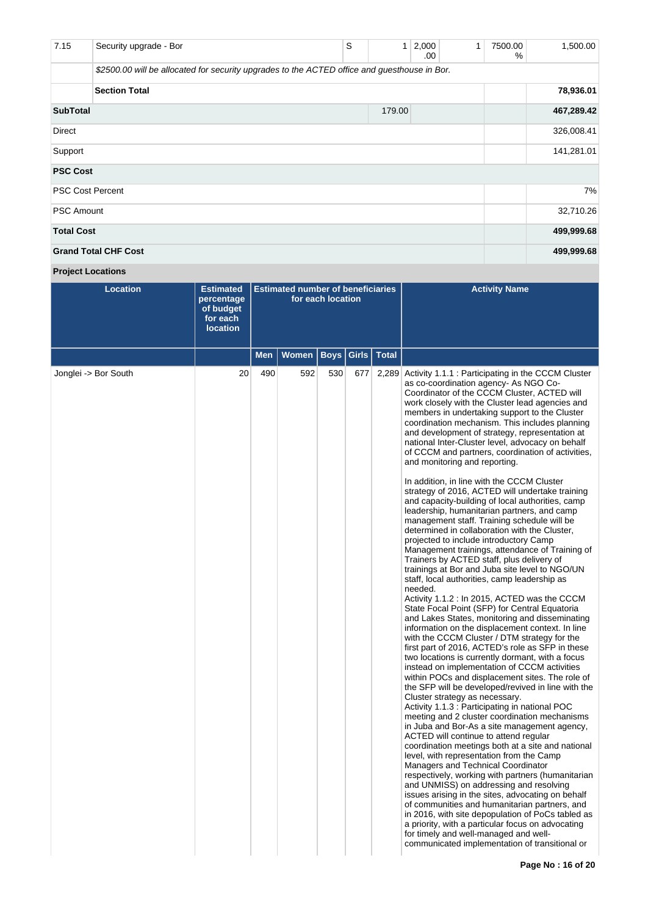| 7.15                    | Security upgrade - Bor                                                                       | S          | 1 | 2,000<br>.00 | $\mathbf{1}$ | 7500.00<br>% | 1,500.00   |  |  |  |
|-------------------------|----------------------------------------------------------------------------------------------|------------|---|--------------|--------------|--------------|------------|--|--|--|
|                         | \$2500.00 will be allocated for security upgrades to the ACTED office and guesthouse in Bor. |            |   |              |              |              |            |  |  |  |
|                         |                                                                                              | 78,936.01  |   |              |              |              |            |  |  |  |
| <b>SubTotal</b>         |                                                                                              | 467,289.42 |   |              |              |              |            |  |  |  |
| Direct                  |                                                                                              | 326,008.41 |   |              |              |              |            |  |  |  |
| Support                 |                                                                                              | 141,281.01 |   |              |              |              |            |  |  |  |
| <b>PSC Cost</b>         |                                                                                              |            |   |              |              |              |            |  |  |  |
| <b>PSC Cost Percent</b> |                                                                                              | 7%         |   |              |              |              |            |  |  |  |
| <b>PSC Amount</b>       |                                                                                              |            |   |              |              |              | 32,710.26  |  |  |  |
| <b>Total Cost</b>       |                                                                                              |            |   |              |              |              | 499,999.68 |  |  |  |
|                         | <b>Grand Total CHF Cost</b>                                                                  |            |   |              |              |              | 499,999.68 |  |  |  |

# **Project Locations**

| <b>Location</b>      | <b>Estimated</b><br>percentage<br>of budget<br>for each<br><b>location</b> |            | <b>Estimated number of beneficiaries</b> | for each location |       |              | <b>Activity Name</b>                                                                                                                                                                                                                                                                                                                                                                                                                                                                                                                                                                                                                                                                                                                                                                                                                                                                                                                                                                                                                                                                                                                                                                                                                                                                                                                                                                                                                                                                                                                                                                                                                                                                                                                                                                                                                                            |
|----------------------|----------------------------------------------------------------------------|------------|------------------------------------------|-------------------|-------|--------------|-----------------------------------------------------------------------------------------------------------------------------------------------------------------------------------------------------------------------------------------------------------------------------------------------------------------------------------------------------------------------------------------------------------------------------------------------------------------------------------------------------------------------------------------------------------------------------------------------------------------------------------------------------------------------------------------------------------------------------------------------------------------------------------------------------------------------------------------------------------------------------------------------------------------------------------------------------------------------------------------------------------------------------------------------------------------------------------------------------------------------------------------------------------------------------------------------------------------------------------------------------------------------------------------------------------------------------------------------------------------------------------------------------------------------------------------------------------------------------------------------------------------------------------------------------------------------------------------------------------------------------------------------------------------------------------------------------------------------------------------------------------------------------------------------------------------------------------------------------------------|
|                      |                                                                            | <b>Men</b> | <b>Women</b>                             | <b>Boys</b>       | Girls | <b>Total</b> |                                                                                                                                                                                                                                                                                                                                                                                                                                                                                                                                                                                                                                                                                                                                                                                                                                                                                                                                                                                                                                                                                                                                                                                                                                                                                                                                                                                                                                                                                                                                                                                                                                                                                                                                                                                                                                                                 |
| Jonglei -> Bor South | 20                                                                         | 490        | 592                                      | 530               | 677   | 2,289        | Activity 1.1.1 : Participating in the CCCM Cluster<br>as co-coordination agency- As NGO Co-<br>Coordinator of the CCCM Cluster, ACTED will<br>work closely with the Cluster lead agencies and<br>members in undertaking support to the Cluster<br>coordination mechanism. This includes planning<br>and development of strategy, representation at<br>national Inter-Cluster level, advocacy on behalf<br>of CCCM and partners, coordination of activities,<br>and monitoring and reporting.                                                                                                                                                                                                                                                                                                                                                                                                                                                                                                                                                                                                                                                                                                                                                                                                                                                                                                                                                                                                                                                                                                                                                                                                                                                                                                                                                                    |
|                      |                                                                            |            |                                          |                   |       |              | In addition, in line with the CCCM Cluster<br>strategy of 2016, ACTED will undertake training<br>and capacity-building of local authorities, camp<br>leadership, humanitarian partners, and camp<br>management staff. Training schedule will be<br>determined in collaboration with the Cluster,<br>projected to include introductory Camp<br>Management trainings, attendance of Training of<br>Trainers by ACTED staff, plus delivery of<br>trainings at Bor and Juba site level to NGO/UN<br>staff, local authorities, camp leadership as<br>needed.<br>Activity 1.1.2 : In 2015, ACTED was the CCCM<br>State Focal Point (SFP) for Central Equatoria<br>and Lakes States, monitoring and disseminating<br>information on the displacement context. In line<br>with the CCCM Cluster / DTM strategy for the<br>first part of 2016, ACTED's role as SFP in these<br>two locations is currently dormant, with a focus<br>instead on implementation of CCCM activities<br>within POCs and displacement sites. The role of<br>the SFP will be developed/revived in line with the<br>Cluster strategy as necessary.<br>Activity 1.1.3 : Participating in national POC<br>meeting and 2 cluster coordination mechanisms<br>in Juba and Bor-As a site management agency,<br>ACTED will continue to attend regular<br>coordination meetings both at a site and national<br>level, with representation from the Camp<br>Managers and Technical Coordinator<br>respectively, working with partners (humanitarian<br>and UNMISS) on addressing and resolving<br>issues arising in the sites, advocating on behalf<br>of communities and humanitarian partners, and<br>in 2016, with site depopulation of PoCs tabled as<br>a priority, with a particular focus on advocating<br>for timely and well-managed and well-<br>communicated implementation of transitional or |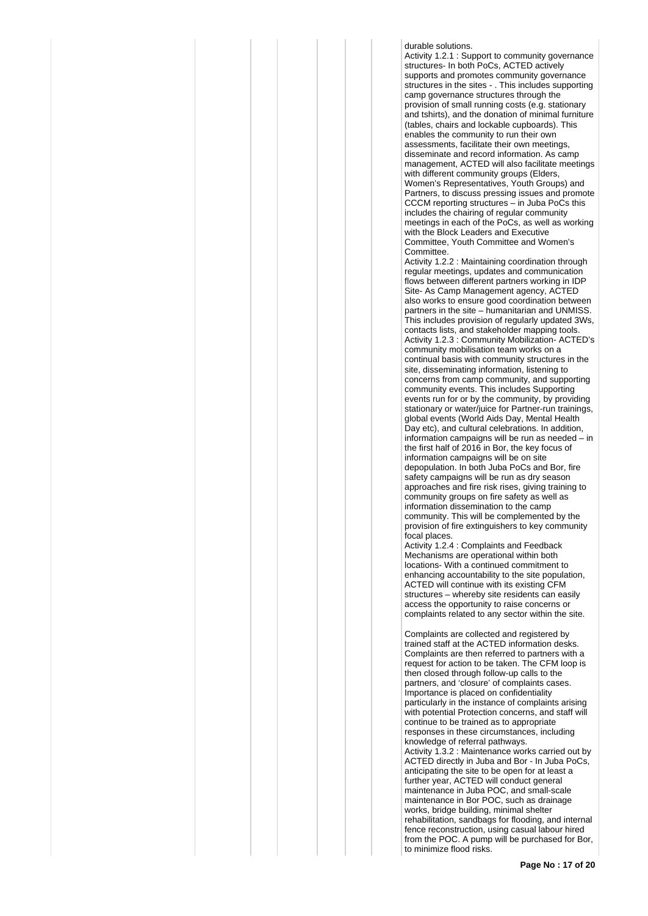durable solutions. Activity 1.2.1 : Support to community governance structures- In both PoCs, ACTED actively supports and promotes community governance structures in the sites - . This includes supporting camp governance structures through the provision of small running costs (e.g. stationary and tshirts), and the donation of minimal furniture (tables, chairs and lockable cupboards). This enables the community to run their own assessments, facilitate their own meetings, disseminate and record information. As camp management, ACTED will also facilitate meetings with different community groups (Elders, Women's Representatives, Youth Groups) and Partners, to discuss pressing issues and promote CCCM reporting structures – in Juba PoCs this includes the chairing of regular community meetings in each of the PoCs, as well as working with the Block Leaders and Executive Committee, Youth Committee and Women's Committee.

Activity 1.2.2 : Maintaining coordination through regular meetings, updates and communication flows between different partners working in IDP Site- As Camp Management agency, ACTED also works to ensure good coordination between partners in the site – humanitarian and UNMISS. This includes provision of regularly updated 3Ws, contacts lists, and stakeholder mapping tools. Activity 1.2.3 : Community Mobilization- ACTED's community mobilisation team works on a continual basis with community structures in the site, disseminating information, listening to concerns from camp community, and supporting community events. This includes Supporting events run for or by the community, by providing stationary or water/juice for Partner-run trainings, global events (World Aids Day, Mental Health Day etc), and cultural celebrations. In addition, information campaigns will be run as needed – in the first half of 2016 in Bor, the key focus of information campaigns will be on site depopulation. In both Juba PoCs and Bor, fire safety campaigns will be run as dry season approaches and fire risk rises, giving training to community groups on fire safety as well as information dissemination to the camp community. This will be complemented by the provision of fire extinguishers to key community focal places.

Activity 1.2.4 : Complaints and Feedback Mechanisms are operational within both locations- With a continued commitment to enhancing accountability to the site population, ACTED will continue with its existing CFM structures – whereby site residents can easily access the opportunity to raise concerns or complaints related to any sector within the site.

Complaints are collected and registered by trained staff at the ACTED information desks. Complaints are then referred to partners with a request for action to be taken. The CFM loop is then closed through follow-up calls to the partners, and 'closure' of complaints cases. Importance is placed on confidentiality particularly in the instance of complaints arising with potential Protection concerns, and staff will continue to be trained as to appropriate responses in these circumstances, including knowledge of referral pathways. Activity 1.3.2 : Maintenance works carried out by ACTED directly in Juba and Bor - In Juba PoCs, anticipating the site to be open for at least a further year, ACTED will conduct general maintenance in Juba POC, and small-scale maintenance in Bor POC, such as drainage works, bridge building, minimal shelter rehabilitation, sandbags for flooding, and internal fence reconstruction, using casual labour hired from the POC. A pump will be purchased for Bor, to minimize flood risks.

**Page No : 17 of 20**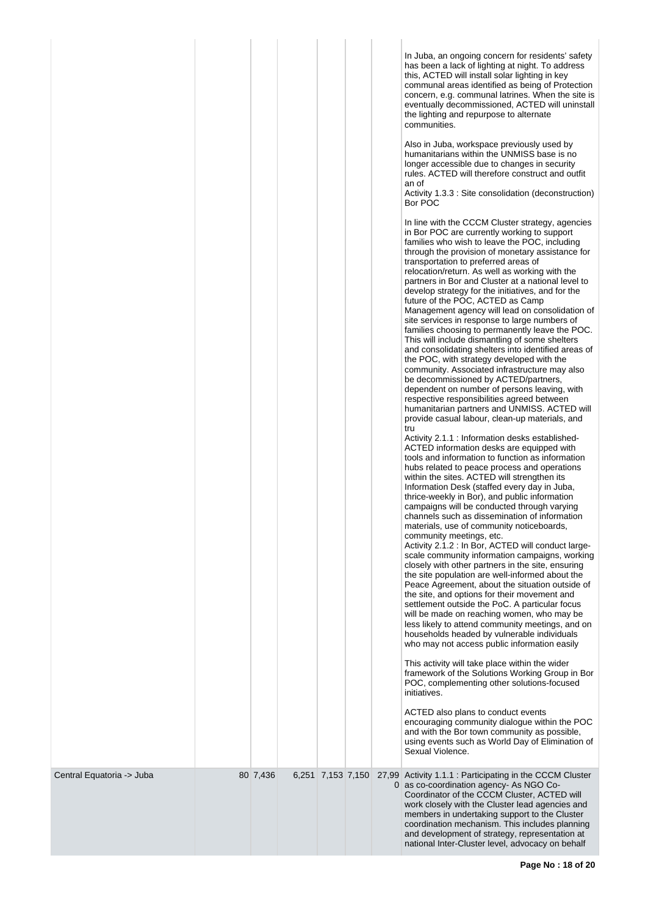|                           |          |                   |  | In Juba, an ongoing concern for residents' safety<br>has been a lack of lighting at night. To address<br>this, ACTED will install solar lighting in key<br>communal areas identified as being of Protection<br>concern, e.g. communal latrines. When the site is<br>eventually decommissioned, ACTED will uninstall<br>the lighting and repurpose to alternate<br>communities.<br>Also in Juba, workspace previously used by<br>humanitarians within the UNMISS base is no<br>longer accessible due to changes in security<br>rules. ACTED will therefore construct and outfit<br>an of<br>Activity 1.3.3 : Site consolidation (deconstruction)<br>Bor POC<br>In line with the CCCM Cluster strategy, agencies<br>in Bor POC are currently working to support<br>families who wish to leave the POC, including<br>through the provision of monetary assistance for<br>transportation to preferred areas of<br>relocation/return. As well as working with the<br>partners in Bor and Cluster at a national level to<br>develop strategy for the initiatives, and for the<br>future of the POC, ACTED as Camp<br>Management agency will lead on consolidation of<br>site services in response to large numbers of<br>families choosing to permanently leave the POC.<br>This will include dismantling of some shelters<br>and consolidating shelters into identified areas of<br>the POC, with strategy developed with the<br>community. Associated infrastructure may also<br>be decommissioned by ACTED/partners,<br>dependent on number of persons leaving, with<br>respective responsibilities agreed between<br>humanitarian partners and UNMISS. ACTED will<br>provide casual labour, clean-up materials, and<br>tru<br>Activity 2.1.1 : Information desks established-<br>ACTED information desks are equipped with<br>tools and information to function as information<br>hubs related to peace process and operations<br>within the sites. ACTED will strengthen its<br>Information Desk (staffed every day in Juba,<br>thrice-weekly in Bor), and public information<br>campaigns will be conducted through varying<br>channels such as dissemination of information<br>materials, use of community noticeboards,<br>community meetings, etc.<br>Activity 2.1.2 : In Bor, ACTED will conduct large-<br>scale community information campaigns, working<br>closely with other partners in the site, ensuring<br>the site population are well-informed about the<br>Peace Agreement, about the situation outside of<br>the site, and options for their movement and<br>settlement outside the PoC. A particular focus<br>will be made on reaching women, who may be<br>less likely to attend community meetings, and on<br>households headed by vulnerable individuals<br>who may not access public information easily<br>This activity will take place within the wider<br>framework of the Solutions Working Group in Bor<br>POC, complementing other solutions-focused<br>initiatives.<br>ACTED also plans to conduct events<br>encouraging community dialogue within the POC<br>and with the Bor town community as possible,<br>using events such as World Day of Elimination of<br>Sexual Violence. |
|---------------------------|----------|-------------------|--|---------------------------------------------------------------------------------------------------------------------------------------------------------------------------------------------------------------------------------------------------------------------------------------------------------------------------------------------------------------------------------------------------------------------------------------------------------------------------------------------------------------------------------------------------------------------------------------------------------------------------------------------------------------------------------------------------------------------------------------------------------------------------------------------------------------------------------------------------------------------------------------------------------------------------------------------------------------------------------------------------------------------------------------------------------------------------------------------------------------------------------------------------------------------------------------------------------------------------------------------------------------------------------------------------------------------------------------------------------------------------------------------------------------------------------------------------------------------------------------------------------------------------------------------------------------------------------------------------------------------------------------------------------------------------------------------------------------------------------------------------------------------------------------------------------------------------------------------------------------------------------------------------------------------------------------------------------------------------------------------------------------------------------------------------------------------------------------------------------------------------------------------------------------------------------------------------------------------------------------------------------------------------------------------------------------------------------------------------------------------------------------------------------------------------------------------------------------------------------------------------------------------------------------------------------------------------------------------------------------------------------------------------------------------------------------------------------------------------------------------------------------------------------------------------------------------------------------------------------------------------------------------------------------------------------------------------------------------------------------------------------------------------------------------------------------------------------------------------------------------------------------------------------------------------------------------------------------|
| Central Equatoria -> Juba | 80 7,436 | 6,251 7,153 7,150 |  | 27,99 Activity 1.1.1 : Participating in the CCCM Cluster<br>0 as co-coordination agency- As NGO Co-<br>Coordinator of the CCCM Cluster, ACTED will<br>work closely with the Cluster lead agencies and<br>members in undertaking support to the Cluster<br>coordination mechanism. This includes planning<br>and development of strategy, representation at<br>national Inter-Cluster level, advocacy on behalf                                                                                                                                                                                                                                                                                                                                                                                                                                                                                                                                                                                                                                                                                                                                                                                                                                                                                                                                                                                                                                                                                                                                                                                                                                                                                                                                                                                                                                                                                                                                                                                                                                                                                                                                                                                                                                                                                                                                                                                                                                                                                                                                                                                                                                                                                                                                                                                                                                                                                                                                                                                                                                                                                                                                                                                                |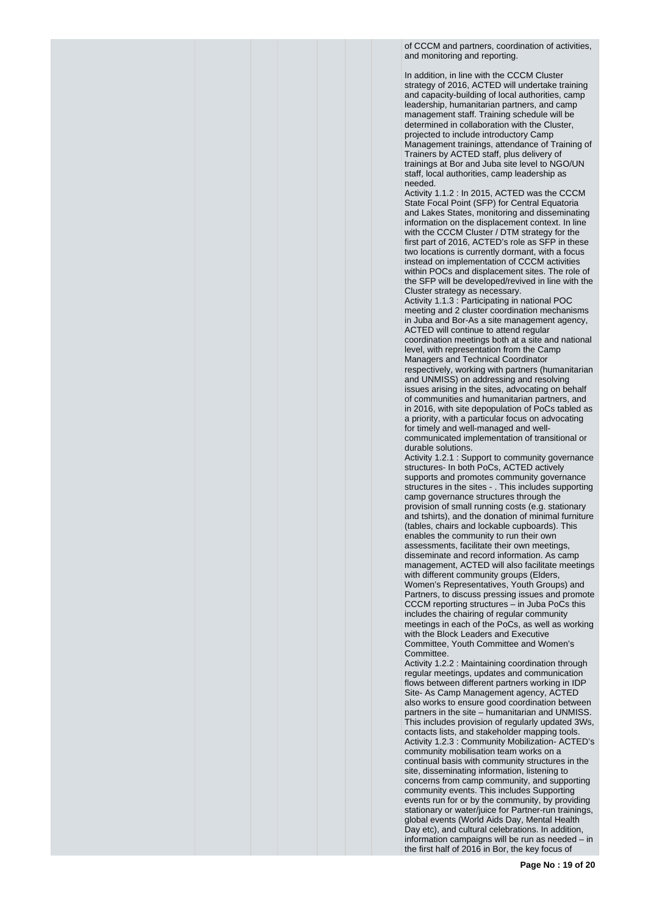of CCCM and partners, coordination of activities, and monitoring and reporting.

In addition, in line with the CCCM Cluster strategy of 2016, ACTED will undertake training and capacity-building of local authorities, camp leadership, humanitarian partners, and camp management staff. Training schedule will be determined in collaboration with the Cluster, projected to include introductory Camp Management trainings, attendance of Training of Trainers by ACTED staff, plus delivery of trainings at Bor and Juba site level to NGO/UN staff, local authorities, camp leadership as needed.

Activity 1.1.2 : In 2015, ACTED was the CCCM State Focal Point (SFP) for Central Equatoria and Lakes States, monitoring and disseminating information on the displacement context. In line with the CCCM Cluster / DTM strategy for the first part of 2016, ACTED's role as SFP in these two locations is currently dormant, with a focus instead on implementation of CCCM activities within POCs and displacement sites. The role of the SFP will be developed/revived in line with the Cluster strategy as necessary.

Activity 1.1.3 : Participating in national POC meeting and 2 cluster coordination mechanisms in Juba and Bor-As a site management agency, ACTED will continue to attend regular coordination meetings both at a site and national level, with representation from the Camp Managers and Technical Coordinator respectively, working with partners (humanitarian and UNMISS) on addressing and resolving issues arising in the sites, advocating on behalf of communities and humanitarian partners, and in 2016, with site depopulation of PoCs tabled as a priority, with a particular focus on advocating for timely and well-managed and wellcommunicated implementation of transitional or durable solutions.

Activity 1.2.1 : Support to community governance structures- In both PoCs, ACTED actively supports and promotes community governance structures in the sites - . This includes supporting camp governance structures through the provision of small running costs (e.g. stationary and tshirts), and the donation of minimal furniture (tables, chairs and lockable cupboards). This enables the community to run their own assessments, facilitate their own meetings, disseminate and record information. As camp management, ACTED will also facilitate meetings with different community groups (Elders, Women's Representatives, Youth Groups) and Partners, to discuss pressing issues and promote CCCM reporting structures – in Juba PoCs this includes the chairing of regular community meetings in each of the PoCs, as well as working with the Block Leaders and Executive Committee, Youth Committee and Women's Committee.

Activity 1.2.2 : Maintaining coordination through regular meetings, updates and communication flows between different partners working in IDP Site- As Camp Management agency, ACTED also works to ensure good coordination between partners in the site – humanitarian and UNMISS. This includes provision of regularly updated 3Ws, contacts lists, and stakeholder mapping tools. Activity 1.2.3 : Community Mobilization- ACTED's community mobilisation team works on a continual basis with community structures in the site, disseminating information, listening to concerns from camp community, and supporting community events. This includes Supporting events run for or by the community, by providing stationary or water/juice for Partner-run trainings, global events (World Aids Day, Mental Health Day etc), and cultural celebrations. In addition, information campaigns will be run as needed – in the first half of 2016 in Bor, the key focus of

**Page No : 19 of 20**